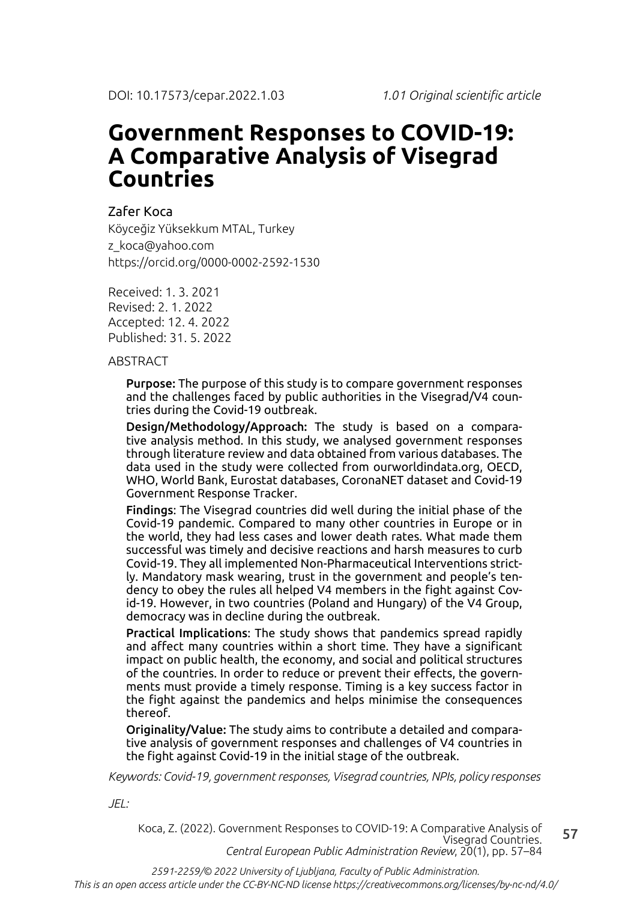# **Government Responses to COVID-19: A Comparative Analysis of Visegrad Countries**

## Zafer Koca

Köyceğiz Yüksekkum MTAL, Turkey z\_koca@yahoo.com https://orcid.org/0000-0002-2592-1530

Received: 1. 3. 2021 Revised: 2. 1. 2022 Accepted: 12. 4. 2022 Published: 31. 5. 2022

**ABSTRACT** 

Purpose: The purpose of this study is to compare government responses and the challenges faced by public authorities in the Visegrad/V4 countries during the Covid-19 outbreak.

Design/Methodology/Approach: The study is based on a comparative analysis method. In this study, we analysed government responses through literature review and data obtained from various databases. The data used in the study were collected from ourworldindata.org, OECD, WHO, World Bank, Eurostat databases, CoronaNET dataset and Covid-19 Government Response Tracker.

Findings: The Visegrad countries did well during the initial phase of the Covid-19 pandemic. Compared to many other countries in Europe or in the world, they had less cases and lower death rates. What made them successful was timely and decisive reactions and harsh measures to curb Covid-19. They all implemented Non-Pharmaceutical Interventions strictly. Mandatory mask wearing, trust in the government and people's tendency to obey the rules all helped V4 members in the fight against Covid-19. However, in two countries (Poland and Hungary) of the V4 Group, democracy was in decline during the outbreak.

Practical Implications: The study shows that pandemics spread rapidly and affect many countries within a short time. They have a significant impact on public health, the economy, and social and political structures of the countries. In order to reduce or prevent their effects, the governments must provide a timely response. Timing is a key success factor in the fight against the pandemics and helps minimise the consequences thereof.

Originality/Value: The study aims to contribute a detailed and comparative analysis of government responses and challenges of V4 countries in the fight against Covid-19 in the initial stage of the outbreak.

*Keywords: Covid-19, government responses, Visegrad countries, NPIs, policy responses*

*JEL:*

57 Koca, Z. (2022). Government Responses to COVID-19: A Comparative Analysis of Visegrad Countries. *Central European Public Administration Review*, 20(1), pp. 57–84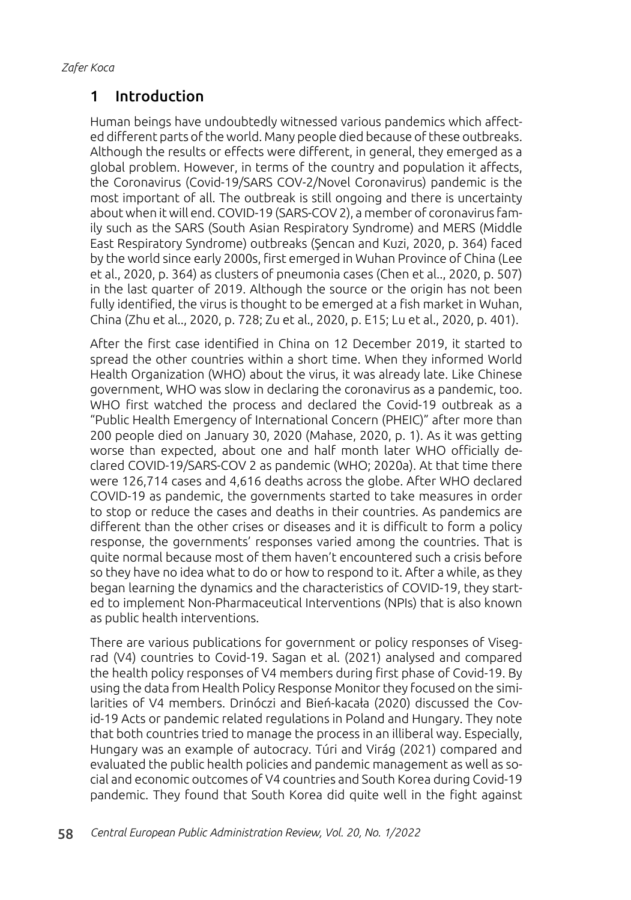# 1 Introduction

Human beings have undoubtedly witnessed various pandemics which affected different parts of the world. Many people died because of these outbreaks. Although the results or effects were different, in general, they emerged as a global problem. However, in terms of the country and population it affects, the Coronavirus (Covid-19/SARS COV-2/Novel Coronavirus) pandemic is the most important of all. The outbreak is still ongoing and there is uncertainty about when it will end. COVID-19 (SARS-COV 2), a member of coronavirus family such as the SARS (South Asian Respiratory Syndrome) and MERS (Middle East Respiratory Syndrome) outbreaks (Şencan and Kuzi, 2020, p. 364) faced by the world since early 2000s, first emerged in Wuhan Province of China (Lee et al., 2020, p. 364) as clusters of pneumonia cases (Chen et al.., 2020, p. 507) in the last quarter of 2019. Although the source or the origin has not been fully identified, the virus is thought to be emerged at a fish market in Wuhan, China (Zhu et al.., 2020, p. 728; Zu et al., 2020, p. E15; Lu et al., 2020, p. 401).

After the first case identified in China on 12 December 2019, it started to spread the other countries within a short time. When they informed World Health Organization (WHO) about the virus, it was already late. Like Chinese government, WHO was slow in declaring the coronavirus as a pandemic, too. WHO first watched the process and declared the Covid-19 outbreak as a "Public Health Emergency of International Concern (PHEIC)" after more than 200 people died on January 30, 2020 (Mahase, 2020, p. 1). As it was getting worse than expected, about one and half month later WHO officially declared COVID-19/SARS-COV 2 as pandemic (WHO; 2020a). At that time there were 126,714 cases and 4,616 deaths across the globe. After WHO declared COVID-19 as pandemic, the governments started to take measures in order to stop or reduce the cases and deaths in their countries. As pandemics are different than the other crises or diseases and it is difficult to form a policy response, the governments' responses varied among the countries. That is quite normal because most of them haven't encountered such a crisis before so they have no idea what to do or how to respond to it. After a while, as they began learning the dynamics and the characteristics of COVID-19, they started to implement Non-Pharmaceutical Interventions (NPIs) that is also known as public health interventions.

There are various publications for government or policy responses of Visegrad (V4) countries to Covid-19. Sagan et al. (2021) analysed and compared the health policy responses of V4 members during first phase of Covid-19. By using the data from Health Policy Response Monitor they focused on the similarities of V4 members. Drinóczi and Bień-kacała (2020) discussed the Covid-19 Acts or pandemic related regulations in Poland and Hungary. They note that both countries tried to manage the process in an illiberal way. Especially, Hungary was an example of autocracy. Túri and Virág (2021) compared and evaluated the public health policies and pandemic management as well as social and economic outcomes of V4 countries and South Korea during Covid-19 pandemic. They found that South Korea did quite well in the fight against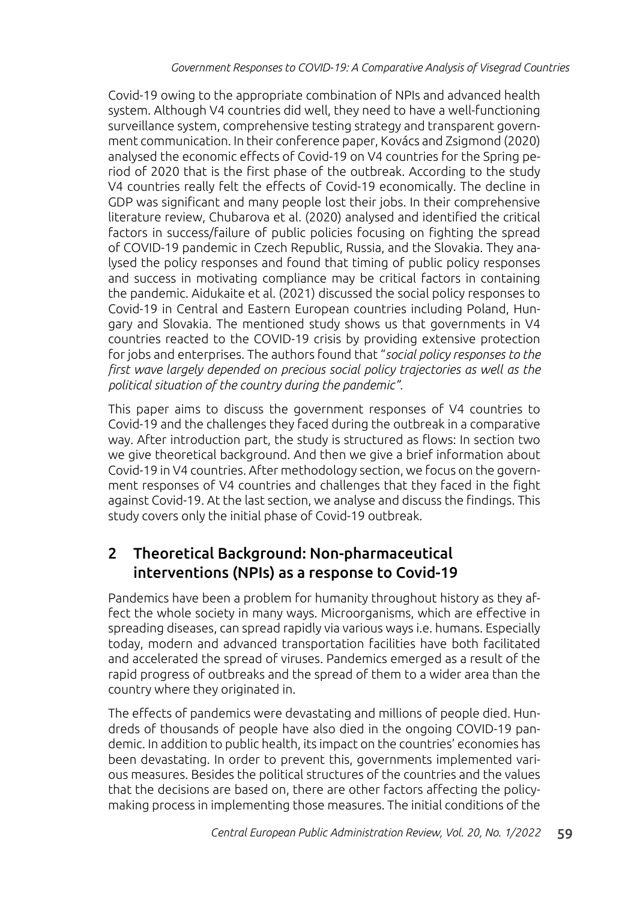Covid-19 owing to the appropriate combination of NPIs and advanced health system. Although V4 countries did well, they need to have a well-functioning surveillance system, comprehensive testing strategy and transparent government communication. In their conference paper, Kovács and Zsigmond (2020) analysed the economic effects of Covid-19 on V4 countries for the Spring period of 2020 that is the first phase of the outbreak. According to the study V4 countries really felt the effects of Covid-19 economically. The decline in GDP was significant and many people lost their jobs. In their comprehensive literature review, Chubarova et al. (2020) analysed and identified the critical factors in success/failure of public policies focusing on fighting the spread of COVID-19 pandemic in Czech Republic, Russia, and the Slovakia. They analysed the policy responses and found that timing of public policy responses and success in motivating compliance may be critical factors in containing the pandemic. Aidukaite et al. (2021) discussed the social policy responses to Covid-19 in Central and Eastern European countries including Poland, Hungary and Slovakia. The mentioned study shows us that governments in V4 countries reacted to the COVID-19 crisis by providing extensive protection for jobs and enterprises. The authors found that "*social policy responses to the first wave largely depended on precious social policy trajectories as well as the political situation of the country during the pandemic".*

This paper aims to discuss the government responses of V4 countries to Covid-19 and the challenges they faced during the outbreak in a comparative way. After introduction part, the study is structured as flows: In section two we give theoretical background. And then we give a brief information about Covid-19 in V4 countries. After methodology section, we focus on the government responses of V4 countries and challenges that they faced in the fight against Covid-19. At the last section, we analyse and discuss the findings. This study covers only the initial phase of Covid-19 outbreak.

# 2 Theoretical Background: Non-pharmaceutical interventions (NPIs) as a response to Covid-19

Pandemics have been a problem for humanity throughout history as they affect the whole society in many ways. Microorganisms, which are effective in spreading diseases, can spread rapidly via various ways i.e. humans. Especially today, modern and advanced transportation facilities have both facilitated and accelerated the spread of viruses. Pandemics emerged as a result of the rapid progress of outbreaks and the spread of them to a wider area than the country where they originated in.

The effects of pandemics were devastating and millions of people died. Hundreds of thousands of people have also died in the ongoing COVID-19 pandemic. In addition to public health, its impact on the countries' economies has been devastating. In order to prevent this, governments implemented various measures. Besides the political structures of the countries and the values that the decisions are based on, there are other factors affecting the policymaking process in implementing those measures. The initial conditions of the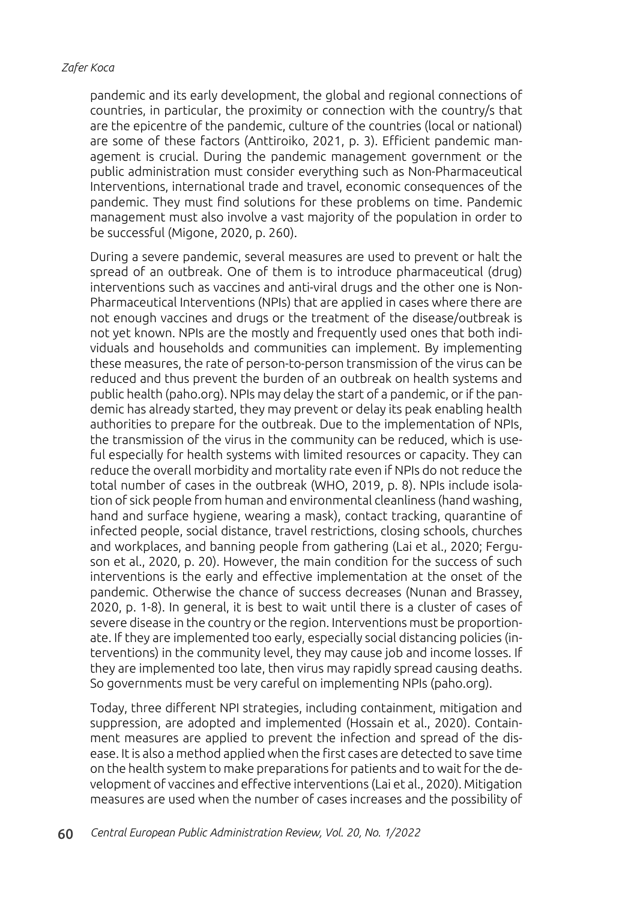pandemic and its early development, the global and regional connections of countries, in particular, the proximity or connection with the country/s that are the epicentre of the pandemic, culture of the countries (local or national) are some of these factors (Anttiroiko, 2021, p. 3). Efficient pandemic management is crucial. During the pandemic management government or the public administration must consider everything such as Non-Pharmaceutical Interventions, international trade and travel, economic consequences of the pandemic. They must find solutions for these problems on time. Pandemic management must also involve a vast majority of the population in order to be successful (Migone, 2020, p. 260).

During a severe pandemic, several measures are used to prevent or halt the spread of an outbreak. One of them is to introduce pharmaceutical (drug) interventions such as vaccines and anti-viral drugs and the other one is Non-Pharmaceutical Interventions (NPIs) that are applied in cases where there are not enough vaccines and drugs or the treatment of the disease/outbreak is not yet known. NPIs are the mostly and frequently used ones that both individuals and households and communities can implement. By implementing these measures, the rate of person-to-person transmission of the virus can be reduced and thus prevent the burden of an outbreak on health systems and public health (paho.org). NPIs may delay the start of a pandemic, or if the pandemic has already started, they may prevent or delay its peak enabling health authorities to prepare for the outbreak. Due to the implementation of NPIs, the transmission of the virus in the community can be reduced, which is useful especially for health systems with limited resources or capacity. They can reduce the overall morbidity and mortality rate even if NPIs do not reduce the total number of cases in the outbreak (WHO, 2019, p. 8). NPIs include isolation of sick people from human and environmental cleanliness (hand washing, hand and surface hygiene, wearing a mask), contact tracking, quarantine of infected people, social distance, travel restrictions, closing schools, churches and workplaces, and banning people from gathering (Lai et al., 2020; Ferguson et al., 2020, p. 20). However, the main condition for the success of such interventions is the early and effective implementation at the onset of the pandemic. Otherwise the chance of success decreases (Nunan and Brassey, 2020, p. 1-8). In general, it is best to wait until there is a cluster of cases of severe disease in the country or the region. Interventions must be proportionate. If they are implemented too early, especially social distancing policies (interventions) in the community level, they may cause job and income losses. If they are implemented too late, then virus may rapidly spread causing deaths. So governments must be very careful on implementing NPIs (paho.org).

Today, three different NPI strategies, including containment, mitigation and suppression, are adopted and implemented (Hossain et al., 2020). Containment measures are applied to prevent the infection and spread of the disease. It is also a method applied when the first cases are detected to save time on the health system to make preparations for patients and to wait for the development of vaccines and effective interventions (Lai et al., 2020). Mitigation measures are used when the number of cases increases and the possibility of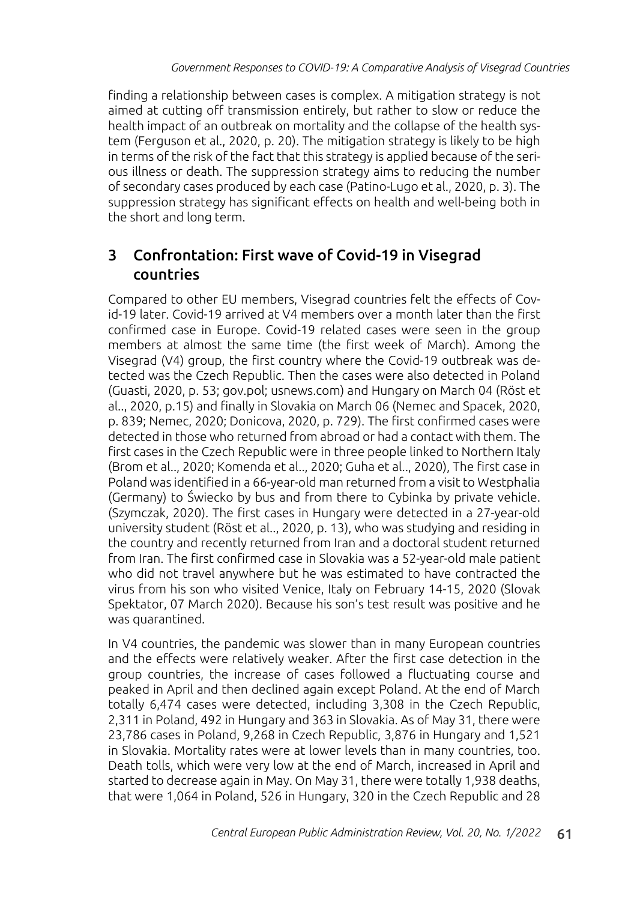finding a relationship between cases is complex. A mitigation strategy is not aimed at cutting off transmission entirely, but rather to slow or reduce the health impact of an outbreak on mortality and the collapse of the health system (Ferguson et al., 2020, p. 20). The mitigation strategy is likely to be high in terms of the risk of the fact that this strategy is applied because of the serious illness or death. The suppression strategy aims to reducing the number of secondary cases produced by each case (Patino-Lugo et al., 2020, p. 3). The suppression strategy has significant effects on health and well-being both in the short and long term.

# 3 Confrontation: First wave of Covid-19 in Visegrad countries

Compared to other EU members, Visegrad countries felt the effects of Covid-19 later. Covid-19 arrived at V4 members over a month later than the first confirmed case in Europe. Covid-19 related cases were seen in the group members at almost the same time (the first week of March). Among the Visegrad (V4) group, the first country where the Covid-19 outbreak was detected was the Czech Republic. Then the cases were also detected in Poland (Guasti, 2020, p. 53; gov.pol; usnews.com) and Hungary on March 04 (Röst et al.., 2020, p.15) and finally in Slovakia on March 06 (Nemec and Spacek, 2020, p. 839; Nemec, 2020; Donicova, 2020, p. 729). The first confirmed cases were detected in those who returned from abroad or had a contact with them. The first cases in the Czech Republic were in three people linked to Northern Italy (Brom et al.., 2020; Komenda et al.., 2020; Guha et al.., 2020), The first case in Poland was identified in a 66-year-old man returned from a visit to Westphalia (Germany) to Świecko by bus and from there to Cybinka by private vehicle. (Szymczak, 2020). The first cases in Hungary were detected in a 27-year-old university student (Röst et al.., 2020, p. 13), who was studying and residing in the country and recently returned from Iran and a doctoral student returned from Iran. The first confirmed case in Slovakia was a 52-year-old male patient who did not travel anywhere but he was estimated to have contracted the virus from his son who visited Venice, Italy on February 14-15, 2020 (Slovak Spektator, 07 March 2020). Because his son's test result was positive and he was quarantined.

In V4 countries, the pandemic was slower than in many European countries and the effects were relatively weaker. After the first case detection in the group countries, the increase of cases followed a fluctuating course and peaked in April and then declined again except Poland. At the end of March totally 6,474 cases were detected, including 3,308 in the Czech Republic, 2,311 in Poland, 492 in Hungary and 363 in Slovakia. As of May 31, there were 23,786 cases in Poland, 9,268 in Czech Republic, 3,876 in Hungary and 1,521 in Slovakia. Mortality rates were at lower levels than in many countries, too. Death tolls, which were very low at the end of March, increased in April and started to decrease again in May. On May 31, there were totally 1,938 deaths, that were 1,064 in Poland, 526 in Hungary, 320 in the Czech Republic and 28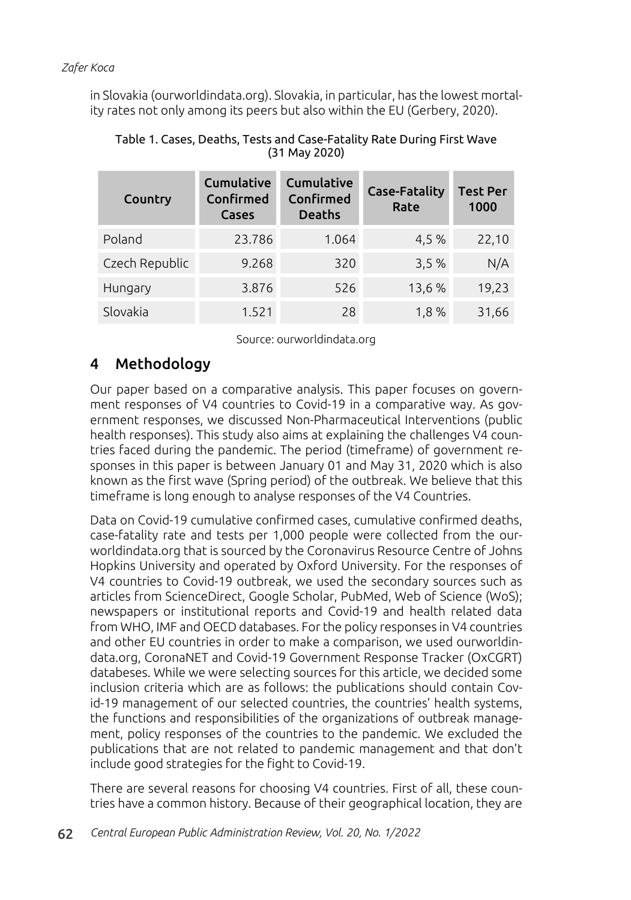in Slovakia (ourworldindata.org). Slovakia, in particular, has the lowest mortality rates not only among its peers but also within the EU (Gerbery, 2020).

| Country        | Cumulative<br>Confirmed<br>Cases | Cumulative<br>Confirmed<br><b>Deaths</b> | <b>Case-Fatality</b><br>Rate | <b>Test Per</b><br>1000 |
|----------------|----------------------------------|------------------------------------------|------------------------------|-------------------------|
| Poland         | 23.786                           | 1.064                                    | 4,5 %                        | 22,10                   |
| Czech Republic | 9.268                            | 320                                      | 3,5%                         | N/A                     |
| Hungary        | 3.876                            | 526                                      | 13,6%                        | 19,23                   |
| Slovakia       | 1.521                            | 28                                       | 1.8%                         | 31,66                   |

### Table 1. Cases, Deaths, Tests and Case-Fatality Rate During First Wave (31 May 2020)

Source: ourworldindata.org

# 4 Methodology

Our paper based on a comparative analysis. This paper focuses on government responses of V4 countries to Covid-19 in a comparative way. As government responses, we discussed Non-Pharmaceutical Interventions (public health responses). This study also aims at explaining the challenges V4 countries faced during the pandemic. The period (timeframe) of government responses in this paper is between January 01 and May 31, 2020 which is also known as the first wave (Spring period) of the outbreak. We believe that this timeframe is long enough to analyse responses of the V4 Countries.

Data on Covid-19 cumulative confirmed cases, cumulative confirmed deaths, case-fatality rate and tests per 1,000 people were collected from the ourworldindata.org that is sourced by the Coronavirus Resource Centre of Johns Hopkins University and operated by Oxford University. For the responses of V4 countries to Covid-19 outbreak, we used the secondary sources such as articles from ScienceDirect, Google Scholar, PubMed, Web of Science (WoS); newspapers or institutional reports and Covid-19 and health related data from WHO, IMF and OECD databases. For the policy responses in V4 countries and other EU countries in order to make a comparison, we used ourworldindata.org, CoronaNET and Covid-19 Government Response Tracker (OxCGRT) databeses. While we were selecting sources for this article, we decided some inclusion criteria which are as follows: the publications should contain Covid-19 management of our selected countries, the countries' health systems, the functions and responsibilities of the organizations of outbreak management, policy responses of the countries to the pandemic. We excluded the publications that are not related to pandemic management and that don't include good strategies for the fight to Covid-19.

There are several reasons for choosing V4 countries. First of all, these countries have a common history. Because of their geographical location, they are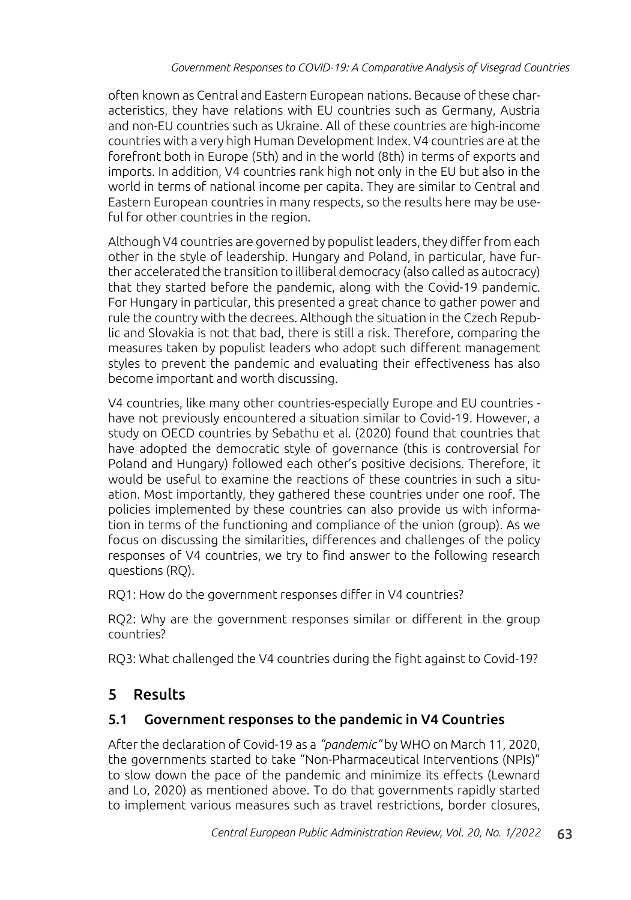often known as Central and Eastern European nations. Because of these characteristics, they have relations with EU countries such as Germany, Austria and non-EU countries such as Ukraine. All of these countries are high-income countries with a very high Human Development Index. V4 countries are at the forefront both in Europe (5th) and in the world (8th) in terms of exports and imports. In addition, V4 countries rank high not only in the EU but also in the world in terms of national income per capita. They are similar to Central and Eastern European countries in many respects, so the results here may be useful for other countries in the region.

Although V4 countries are governed by populist leaders, they differ from each other in the style of leadership. Hungary and Poland, in particular, have further accelerated the transition to illiberal democracy (also called as autocracy) that they started before the pandemic, along with the Covid-19 pandemic. For Hungary in particular, this presented a great chance to gather power and rule the country with the decrees. Although the situation in the Czech Republic and Slovakia is not that bad, there is still a risk. Therefore, comparing the measures taken by populist leaders who adopt such different management styles to prevent the pandemic and evaluating their effectiveness has also become important and worth discussing.

V4 countries, like many other countries-especially Europe and EU countries have not previously encountered a situation similar to Covid-19. However, a study on OECD countries by Sebathu et al. (2020) found that countries that have adopted the democratic style of governance (this is controversial for Poland and Hungary) followed each other's positive decisions. Therefore, it would be useful to examine the reactions of these countries in such a situation. Most importantly, they gathered these countries under one roof. The policies implemented by these countries can also provide us with information in terms of the functioning and compliance of the union (group). As we focus on discussing the similarities, differences and challenges of the policy responses of V4 countries, we try to find answer to the following research questions (RQ).

RQ1: How do the government responses differ in V4 countries?

RQ2: Why are the government responses similar or different in the group countries?

RQ3: What challenged the V4 countries during the fight against to Covid-19?

# 5 Results

# 5.1 Government responses to the pandemic in V4 Countries

After the declaration of Covid-19 as a *"pandemic"* by WHO on March 11, 2020, the governments started to take "Non-Pharmaceutical Interventions (NPIs)" to slow down the pace of the pandemic and minimize its effects (Lewnard and Lo, 2020) as mentioned above. To do that governments rapidly started to implement various measures such as travel restrictions, border closures,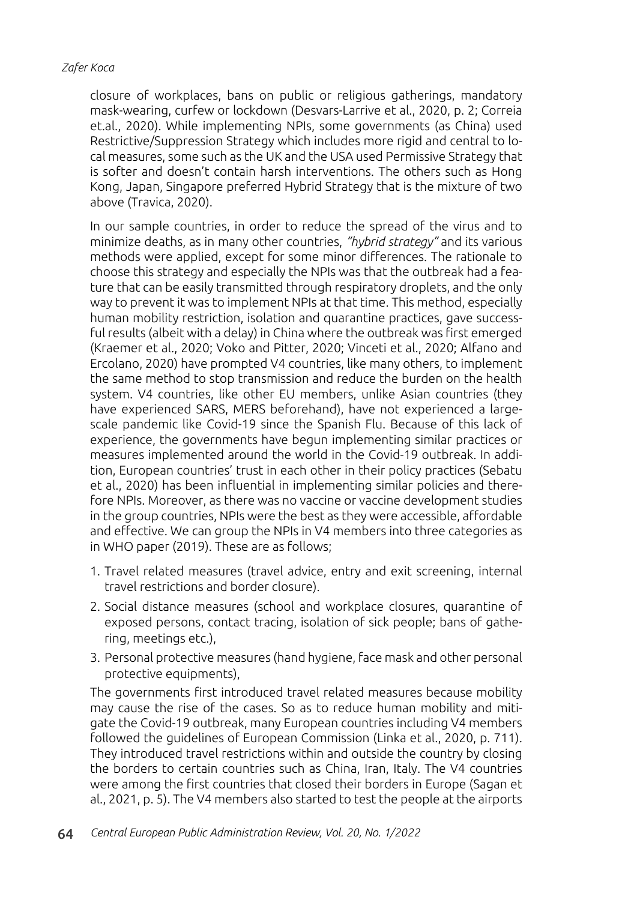closure of workplaces, bans on public or religious gatherings, mandatory mask-wearing, curfew or lockdown (Desvars-Larrive et al., 2020, p. 2; Correia et.al., 2020). While implementing NPIs, some governments (as China) used Restrictive/Suppression Strategy which includes more rigid and central to local measures, some such as the UK and the USA used Permissive Strategy that is softer and doesn't contain harsh interventions. The others such as Hong Kong, Japan, Singapore preferred Hybrid Strategy that is the mixture of two above (Travica, 2020).

In our sample countries, in order to reduce the spread of the virus and to minimize deaths, as in many other countries, *"hybrid strategy"* and its various methods were applied, except for some minor differences. The rationale to choose this strategy and especially the NPIs was that the outbreak had a feature that can be easily transmitted through respiratory droplets, and the only way to prevent it was to implement NPIs at that time. This method, especially human mobility restriction, isolation and quarantine practices, gave successful results (albeit with a delay) in China where the outbreak was first emerged (Kraemer et al., 2020; Voko and Pitter, 2020; Vinceti et al., 2020; Alfano and Ercolano, 2020) have prompted V4 countries, like many others, to implement the same method to stop transmission and reduce the burden on the health system. V4 countries, like other EU members, unlike Asian countries (they have experienced SARS, MERS beforehand), have not experienced a largescale pandemic like Covid-19 since the Spanish Flu. Because of this lack of experience, the governments have begun implementing similar practices or measures implemented around the world in the Covid-19 outbreak. In addition, European countries' trust in each other in their policy practices (Sebatu et al., 2020) has been influential in implementing similar policies and therefore NPIs. Moreover, as there was no vaccine or vaccine development studies in the group countries, NPIs were the best as they were accessible, affordable and effective. We can group the NPIs in V4 members into three categories as in WHO paper (2019). These are as follows;

- 1. Travel related measures (travel advice, entry and exit screening, internal travel restrictions and border closure).
- 2. Social distance measures (school and workplace closures, quarantine of exposed persons, contact tracing, isolation of sick people; bans of gathering, meetings etc.),
- 3. Personal protective measures (hand hygiene, face mask and other personal protective equipments),

The governments first introduced travel related measures because mobility may cause the rise of the cases. So as to reduce human mobility and mitigate the Covid-19 outbreak, many European countries including V4 members followed the guidelines of European Commission (Linka et al., 2020, p. 711). They introduced travel restrictions within and outside the country by closing the borders to certain countries such as China, Iran, Italy. The V4 countries were among the first countries that closed their borders in Europe (Sagan et al., 2021, p. 5). The V4 members also started to test the people at the airports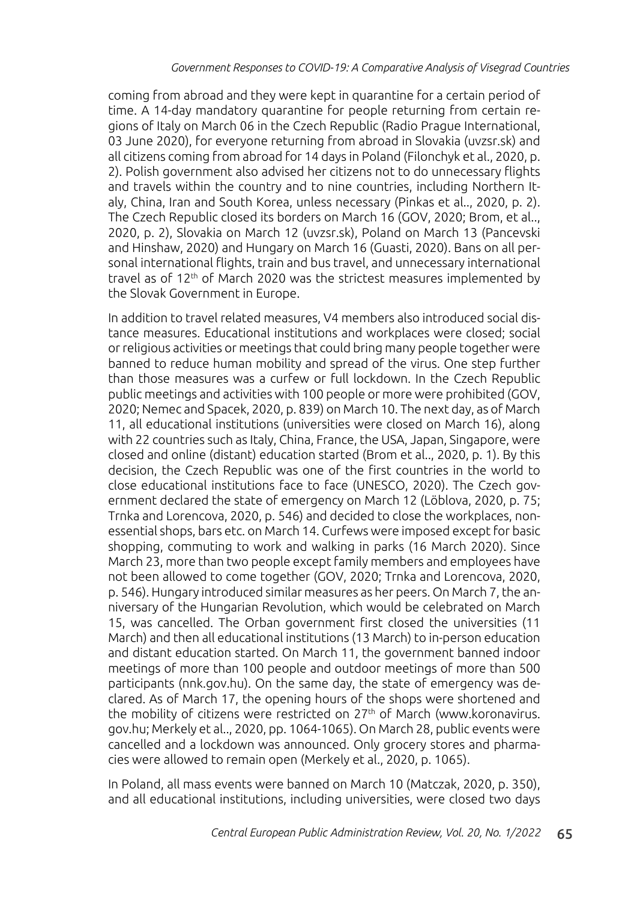coming from abroad and they were kept in quarantine for a certain period of time. A 14-day mandatory quarantine for people returning from certain regions of Italy on March 06 in the Czech Republic (Radio Prague International, 03 June 2020), for everyone returning from abroad in Slovakia (uvzsr.sk) and all citizens coming from abroad for 14 days in Poland (Filonchyk et al., 2020, p. 2). Polish government also advised her citizens not to do unnecessary flights and travels within the country and to nine countries, including Northern Italy, China, Iran and South Korea, unless necessary (Pinkas et al.., 2020, p. 2). The Czech Republic closed its borders on March 16 (GOV, 2020; Brom, et al.., 2020, p. 2), Slovakia on March 12 (uvzsr.sk), Poland on March 13 (Pancevski and Hinshaw, 2020) and Hungary on March 16 (Guasti, 2020). Bans on all personal international flights, train and bus travel, and unnecessary international travel as of 12<sup>th</sup> of March 2020 was the strictest measures implemented by the Slovak Government in Europe.

In addition to travel related measures, V4 members also introduced social distance measures. Educational institutions and workplaces were closed; social or religious activities or meetings that could bring many people together were banned to reduce human mobility and spread of the virus. One step further than those measures was a curfew or full lockdown. In the Czech Republic public meetings and activities with 100 people or more were prohibited (GOV, 2020; Nemec and Spacek, 2020, p. 839) on March 10. The next day, as of March 11, all educational institutions (universities were closed on March 16), along with 22 countries such as Italy, China, France, the USA, Japan, Singapore, were closed and online (distant) education started (Brom et al.., 2020, p. 1). By this decision, the Czech Republic was one of the first countries in the world to close educational institutions face to face (UNESCO, 2020). The Czech government declared the state of emergency on March 12 (Löblova, 2020, p. 75; Trnka and Lorencova, 2020, p. 546) and decided to close the workplaces, nonessential shops, bars etc. on March 14. Curfews were imposed except for basic shopping, commuting to work and walking in parks (16 March 2020). Since March 23, more than two people except family members and employees have not been allowed to come together (GOV, 2020; Trnka and Lorencova, 2020, p. 546). Hungary introduced similar measures as her peers. On March 7, the anniversary of the Hungarian Revolution, which would be celebrated on March 15, was cancelled. The Orban government first closed the universities (11 March) and then all educational institutions (13 March) to in-person education and distant education started. On March 11, the government banned indoor meetings of more than 100 people and outdoor meetings of more than 500 participants (nnk.gov.hu). On the same day, the state of emergency was declared. As of March 17, the opening hours of the shops were shortened and the mobility of citizens were restricted on 27<sup>th</sup> of March (www.koronavirus. gov.hu; Merkely et al.., 2020, pp. 1064-1065). On March 28, public events were cancelled and a lockdown was announced. Only grocery stores and pharmacies were allowed to remain open (Merkely et al., 2020, p. 1065).

In Poland, all mass events were banned on March 10 (Matczak, 2020, p. 350), and all educational institutions, including universities, were closed two days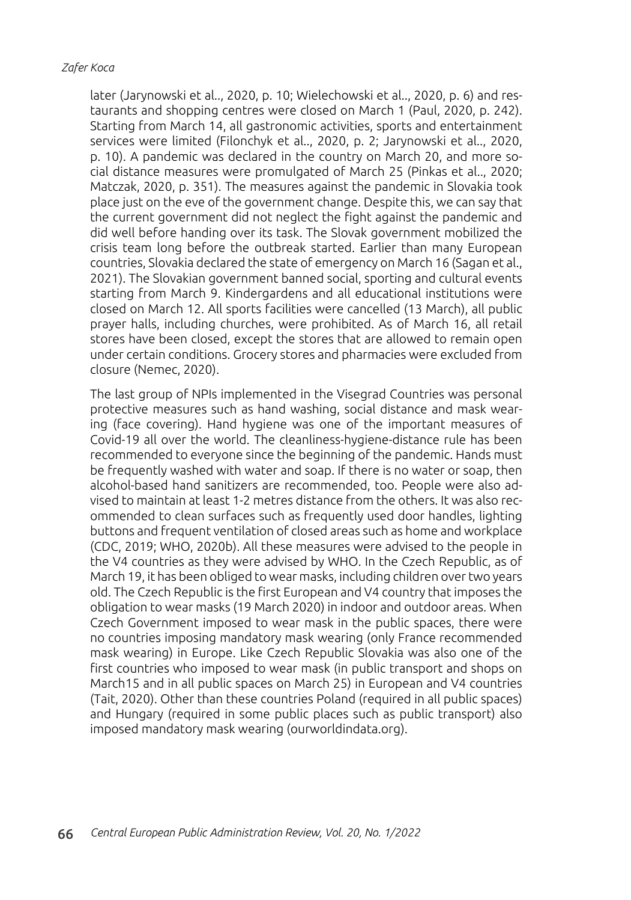later (Jarynowski et al.., 2020, p. 10; Wielechowski et al.., 2020, p. 6) and restaurants and shopping centres were closed on March 1 (Paul, 2020, p. 242). Starting from March 14, all gastronomic activities, sports and entertainment services were limited (Filonchyk et al.., 2020, p. 2; Jarynowski et al.., 2020, p. 10). A pandemic was declared in the country on March 20, and more social distance measures were promulgated of March 25 (Pinkas et al.., 2020; Matczak, 2020, p. 351). The measures against the pandemic in Slovakia took place just on the eve of the government change. Despite this, we can say that the current government did not neglect the fight against the pandemic and did well before handing over its task. The Slovak government mobilized the crisis team long before the outbreak started. Earlier than many European countries, Slovakia declared the state of emergency on March 16 (Sagan et al., 2021). The Slovakian government banned social, sporting and cultural events starting from March 9. Kindergardens and all educational institutions were closed on March 12. All sports facilities were cancelled (13 March), all public prayer halls, including churches, were prohibited. As of March 16, all retail stores have been closed, except the stores that are allowed to remain open under certain conditions. Grocery stores and pharmacies were excluded from closure (Nemec, 2020).

The last group of NPIs implemented in the Visegrad Countries was personal protective measures such as hand washing, social distance and mask wearing (face covering). Hand hygiene was one of the important measures of Covid-19 all over the world. The cleanliness-hygiene-distance rule has been recommended to everyone since the beginning of the pandemic. Hands must be frequently washed with water and soap. If there is no water or soap, then alcohol-based hand sanitizers are recommended, too. People were also advised to maintain at least 1-2 metres distance from the others. It was also recommended to clean surfaces such as frequently used door handles, lighting buttons and frequent ventilation of closed areas such as home and workplace (CDC, 2019; WHO, 2020b). All these measures were advised to the people in the V4 countries as they were advised by WHO. In the Czech Republic, as of March 19, it has been obliged to wear masks, including children over two years old. The Czech Republic is the first European and V4 country that imposes the obligation to wear masks (19 March 2020) in indoor and outdoor areas. When Czech Government imposed to wear mask in the public spaces, there were no countries imposing mandatory mask wearing (only France recommended mask wearing) in Europe. Like Czech Republic Slovakia was also one of the first countries who imposed to wear mask (in public transport and shops on March15 and in all public spaces on March 25) in European and V4 countries (Tait, 2020). Other than these countries Poland (required in all public spaces) and Hungary (required in some public places such as public transport) also imposed mandatory mask wearing (ourworldindata.org).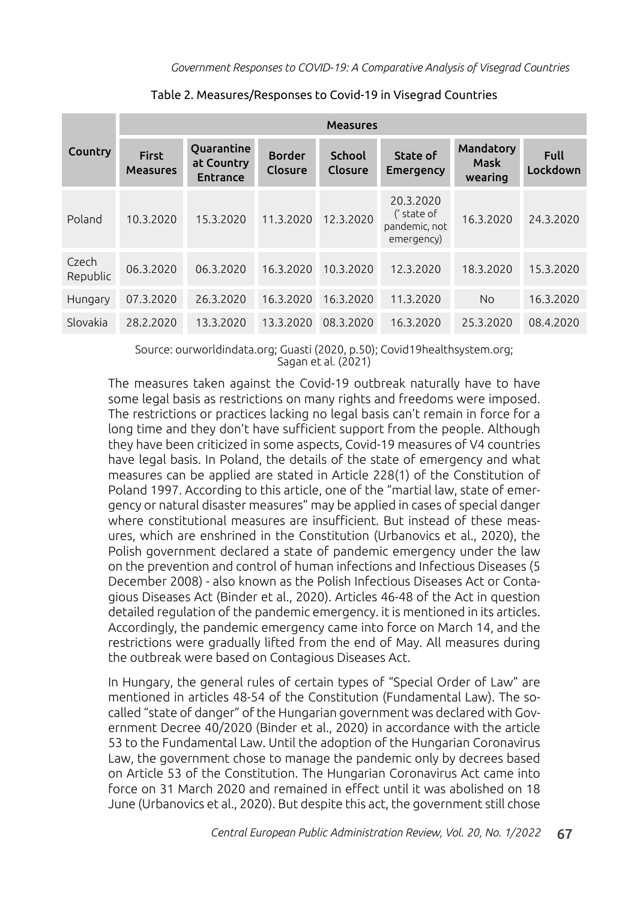| Country           | <b>Measures</b>                 |                                             |                          |                          |                                                           |                              |                         |  |
|-------------------|---------------------------------|---------------------------------------------|--------------------------|--------------------------|-----------------------------------------------------------|------------------------------|-------------------------|--|
|                   | <b>First</b><br><b>Measures</b> | Quarantine<br>at Country<br><b>Entrance</b> | <b>Border</b><br>Closure | <b>School</b><br>Closure | State of<br><b>Emergency</b>                              | Mandatory<br>Mask<br>wearing | <b>Full</b><br>Lockdown |  |
| Poland            | 10.3.2020                       | 15.3.2020                                   | 11.3.2020                | 12.3.2020                | 20.3.2020<br>$(*$ state of<br>pandemic, not<br>emergency) | 16.3.2020                    | 24.3.2020               |  |
| Czech<br>Republic | 06.3.2020                       | 06.3.2020                                   | 16.3.2020                | 10.3.2020                | 12.3.2020                                                 | 18.3.2020                    | 15.3.2020               |  |
| Hungary           | 07.3.2020                       | 26.3.2020                                   | 16.3.2020                | 16.3.2020                | 11.3.2020                                                 | <b>No</b>                    | 16.3.2020               |  |
| Slovakia          | 28.2.2020                       | 13.3.2020                                   | 13.3.2020                | 08.3.2020                | 16.3.2020                                                 | 25.3.2020                    | 08.4.2020               |  |

Table 2. Measures/Responses to Covid-19 in Visegrad Countries

Source: ourworldindata.org; Guasti (2020, p.50); Covid19healthsystem.org; Sagan et al. (2021)

The measures taken against the Covid-19 outbreak naturally have to have some legal basis as restrictions on many rights and freedoms were imposed. The restrictions or practices lacking no legal basis can't remain in force for a long time and they don't have sufficient support from the people. Although they have been criticized in some aspects, Covid-19 measures of V4 countries have legal basis. In Poland, the details of the state of emergency and what measures can be applied are stated in Article 228(1) of the Constitution of Poland 1997. According to this article, one of the "martial law, state of emergency or natural disaster measures" may be applied in cases of special danger where constitutional measures are insufficient. But instead of these measures, which are enshrined in the Constitution (Urbanovics et al., 2020), the Polish government declared a state of pandemic emergency under the law on the prevention and control of human infections and Infectious Diseases (5 December 2008) - also known as the Polish Infectious Diseases Act or Contagious Diseases Act (Binder et al., 2020). Articles 46-48 of the Act in question detailed regulation of the pandemic emergency. it is mentioned in its articles. Accordingly, the pandemic emergency came into force on March 14, and the restrictions were gradually lifted from the end of May. All measures during the outbreak were based on Contagious Diseases Act.

In Hungary, the general rules of certain types of "Special Order of Law" are mentioned in articles 48-54 of the Constitution (Fundamental Law). The socalled "state of danger" of the Hungarian government was declared with Government Decree 40/2020 (Binder et al., 2020) in accordance with the article 53 to the Fundamental Law. Until the adoption of the Hungarian Coronavirus Law, the government chose to manage the pandemic only by decrees based on Article 53 of the Constitution. The Hungarian Coronavirus Act came into force on 31 March 2020 and remained in effect until it was abolished on 18 June (Urbanovics et al., 2020). But despite this act, the government still chose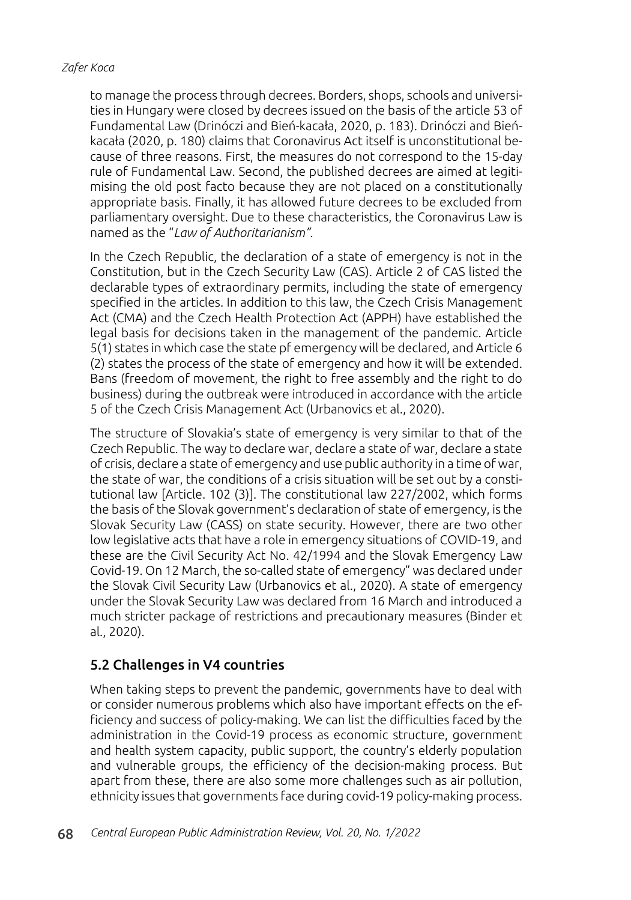to manage the process through decrees. Borders, shops, schools and universities in Hungary were closed by decrees issued on the basis of the article 53 of Fundamental Law (Drinóczi and Bień-kacała, 2020, p. 183). Drinóczi and Bieńkacała (2020, p. 180) claims that Coronavirus Act itself is unconstitutional because of three reasons. First, the measures do not correspond to the 15-day rule of Fundamental Law. Second, the published decrees are aimed at legitimising the old post facto because they are not placed on a constitutionally appropriate basis. Finally, it has allowed future decrees to be excluded from parliamentary oversight. Due to these characteristics, the Coronavirus Law is named as the "*Law of Authoritarianism".*

In the Czech Republic, the declaration of a state of emergency is not in the Constitution, but in the Czech Security Law (CAS). Article 2 of CAS listed the declarable types of extraordinary permits, including the state of emergency specified in the articles. In addition to this law, the Czech Crisis Management Act (CMA) and the Czech Health Protection Act (APPH) have established the legal basis for decisions taken in the management of the pandemic. Article 5(1) states in which case the state pf emergency will be declared, and Article 6 (2) states the process of the state of emergency and how it will be extended. Bans (freedom of movement, the right to free assembly and the right to do business) during the outbreak were introduced in accordance with the article 5 of the Czech Crisis Management Act (Urbanovics et al., 2020).

The structure of Slovakia's state of emergency is very similar to that of the Czech Republic. The way to declare war, declare a state of war, declare a state of crisis, declare a state of emergency and use public authority in a time of war, the state of war, the conditions of a crisis situation will be set out by a constitutional law [Article. 102 (3)]. The constitutional law 227/2002, which forms the basis of the Slovak government's declaration of state of emergency, is the Slovak Security Law (CASS) on state security. However, there are two other low legislative acts that have a role in emergency situations of COVID-19, and these are the Civil Security Act No. 42/1994 and the Slovak Emergency Law Covid-19. On 12 March, the so-called state of emergency" was declared under the Slovak Civil Security Law (Urbanovics et al., 2020). A state of emergency under the Slovak Security Law was declared from 16 March and introduced a much stricter package of restrictions and precautionary measures (Binder et al., 2020).

### 5.2 Challenges in V4 countries

When taking steps to prevent the pandemic, governments have to deal with or consider numerous problems which also have important effects on the efficiency and success of policy-making. We can list the difficulties faced by the administration in the Covid-19 process as economic structure, government and health system capacity, public support, the country's elderly population and vulnerable groups, the efficiency of the decision-making process. But apart from these, there are also some more challenges such as air pollution, ethnicity issues that governments face during covid-19 policy-making process.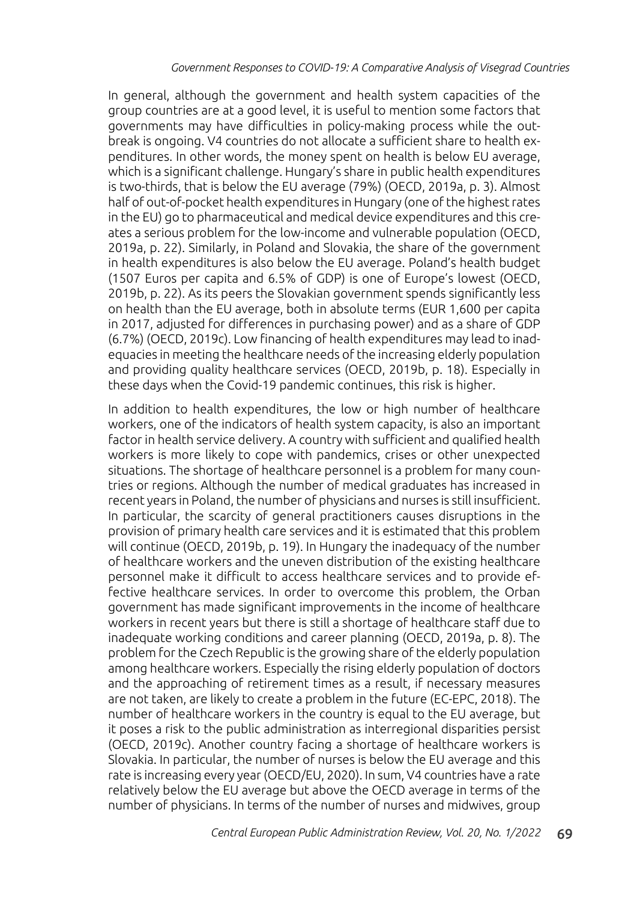In general, although the government and health system capacities of the group countries are at a good level, it is useful to mention some factors that governments may have difficulties in policy-making process while the outbreak is ongoing. V4 countries do not allocate a sufficient share to health expenditures. In other words, the money spent on health is below EU average, which is a significant challenge. Hungary's share in public health expenditures is two-thirds, that is below the EU average (79%) (OECD, 2019a, p. 3). Almost half of out-of-pocket health expenditures in Hungary (one of the highest rates in the EU) go to pharmaceutical and medical device expenditures and this creates a serious problem for the low-income and vulnerable population (OECD, 2019a, p. 22). Similarly, in Poland and Slovakia, the share of the government in health expenditures is also below the EU average. Poland's health budget (1507 Euros per capita and 6.5% of GDP) is one of Europe's lowest (OECD, 2019b, p. 22). As its peers the Slovakian government spends significantly less on health than the EU average, both in absolute terms (EUR 1,600 per capita in 2017, adjusted for differences in purchasing power) and as a share of GDP (6.7%) (OECD, 2019c). Low financing of health expenditures may lead to inadequacies in meeting the healthcare needs of the increasing elderly population and providing quality healthcare services (OECD, 2019b, p. 18). Especially in these days when the Covid-19 pandemic continues, this risk is higher.

In addition to health expenditures, the low or high number of healthcare workers, one of the indicators of health system capacity, is also an important factor in health service delivery. A country with sufficient and qualified health workers is more likely to cope with pandemics, crises or other unexpected situations. The shortage of healthcare personnel is a problem for many countries or regions. Although the number of medical graduates has increased in recent years in Poland, the number of physicians and nurses is still insufficient. In particular, the scarcity of general practitioners causes disruptions in the provision of primary health care services and it is estimated that this problem will continue (OECD, 2019b, p. 19). In Hungary the inadequacy of the number of healthcare workers and the uneven distribution of the existing healthcare personnel make it difficult to access healthcare services and to provide effective healthcare services. In order to overcome this problem, the Orban government has made significant improvements in the income of healthcare workers in recent years but there is still a shortage of healthcare staff due to inadequate working conditions and career planning (OECD, 2019a, p. 8). The problem for the Czech Republic is the growing share of the elderly population among healthcare workers. Especially the rising elderly population of doctors and the approaching of retirement times as a result, if necessary measures are not taken, are likely to create a problem in the future (EC-EPC, 2018). The number of healthcare workers in the country is equal to the EU average, but it poses a risk to the public administration as interregional disparities persist (OECD, 2019c). Another country facing a shortage of healthcare workers is Slovakia. In particular, the number of nurses is below the EU average and this rate is increasing every year (OECD/EU, 2020). In sum, V4 countries have a rate relatively below the EU average but above the OECD average in terms of the number of physicians. In terms of the number of nurses and midwives, group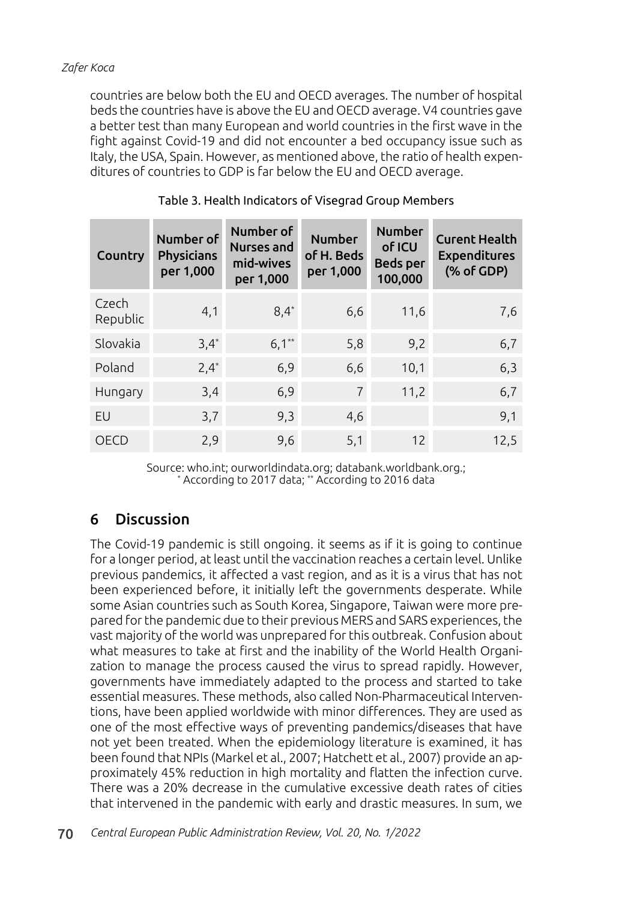countries are below both the EU and OECD averages. The number of hospital beds the countries have is above the EU and OECD average. V4 countries gave a better test than many European and world countries in the first wave in the fight against Covid-19 and did not encounter a bed occupancy issue such as Italy, the USA, Spain. However, as mentioned above, the ratio of health expenditures of countries to GDP is far below the EU and OECD average.

| Country           | Number of<br>Physicians<br>per 1,000 | Number of<br>Nurses and<br>mid-wives<br>per 1,000 | <b>Number</b><br>of H. Beds<br>per 1,000 | <b>Number</b><br>of ICU<br><b>Beds per</b><br>100,000 | <b>Curent Health</b><br><b>Expenditures</b><br>(% of GDP) |
|-------------------|--------------------------------------|---------------------------------------------------|------------------------------------------|-------------------------------------------------------|-----------------------------------------------------------|
| Czech<br>Republic | 4,1                                  | $8,4*$                                            | 6,6                                      | 11,6                                                  | 7,6                                                       |
| Slovakia          | $3,4^*$                              | $6,1^{**}$                                        | 5,8                                      | 9,2                                                   | 6,7                                                       |
| Poland            | $2,4*$                               | 6,9                                               | 6,6                                      | 10,1                                                  | 6,3                                                       |
| Hungary           | 3,4                                  | 6,9                                               | $\overline{7}$                           | 11,2                                                  | 6,7                                                       |
| EU                | 3,7                                  | 9,3                                               | 4,6                                      |                                                       | 9,1                                                       |
| OECD              | 2,9                                  | 9,6                                               | 5,1                                      | 12                                                    | 12,5                                                      |

### Table 3. Health Indicators of Visegrad Group Members

Source: who.int; ourworldindata.org; databank.worldbank.org.; \* According to 2017 data; \*\* According to 2016 data

# 6 Discussion

The Covid-19 pandemic is still ongoing. it seems as if it is going to continue for a longer period, at least until the vaccination reaches a certain level. Unlike previous pandemics, it affected a vast region, and as it is a virus that has not been experienced before, it initially left the governments desperate. While some Asian countries such as South Korea, Singapore, Taiwan were more prepared for the pandemic due to their previous MERS and SARS experiences, the vast majority of the world was unprepared for this outbreak. Confusion about what measures to take at first and the inability of the World Health Organization to manage the process caused the virus to spread rapidly. However, governments have immediately adapted to the process and started to take essential measures. These methods, also called Non-Pharmaceutical Interventions, have been applied worldwide with minor differences. They are used as one of the most effective ways of preventing pandemics/diseases that have not yet been treated. When the epidemiology literature is examined, it has been found that NPIs (Markel et al., 2007; Hatchett et al., 2007) provide an approximately 45% reduction in high mortality and flatten the infection curve. There was a 20% decrease in the cumulative excessive death rates of cities that intervened in the pandemic with early and drastic measures. In sum, we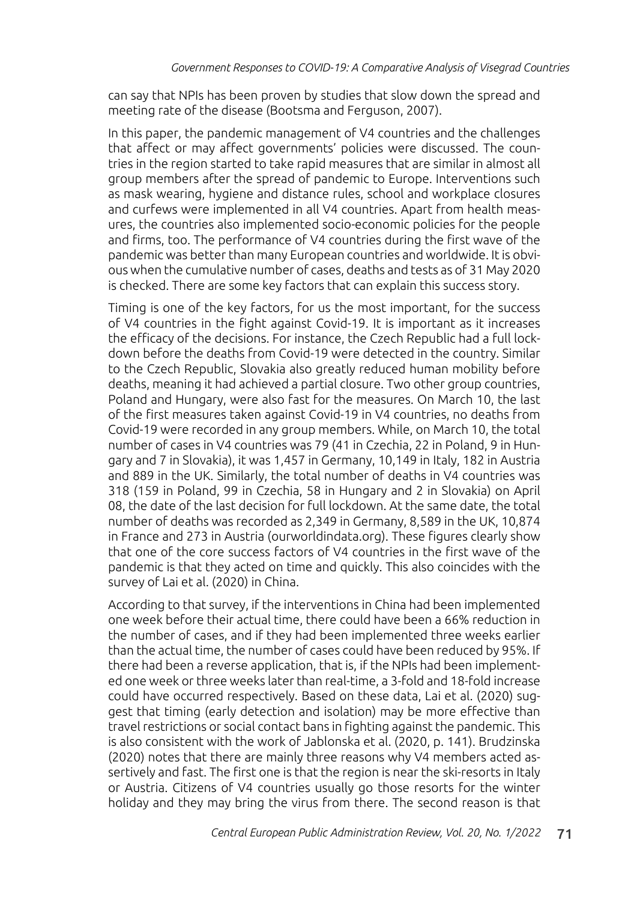can say that NPIs has been proven by studies that slow down the spread and meeting rate of the disease (Bootsma and Ferguson, 2007).

In this paper, the pandemic management of V4 countries and the challenges that affect or may affect governments' policies were discussed. The countries in the region started to take rapid measures that are similar in almost all group members after the spread of pandemic to Europe. Interventions such as mask wearing, hygiene and distance rules, school and workplace closures and curfews were implemented in all V4 countries. Apart from health measures, the countries also implemented socio-economic policies for the people and firms, too. The performance of V4 countries during the first wave of the pandemic was better than many European countries and worldwide. It is obvious when the cumulative number of cases, deaths and tests as of 31 May 2020 is checked. There are some key factors that can explain this success story.

Timing is one of the key factors, for us the most important, for the success of V4 countries in the fight against Covid-19. It is important as it increases the efficacy of the decisions. For instance, the Czech Republic had a full lockdown before the deaths from Covid-19 were detected in the country. Similar to the Czech Republic, Slovakia also greatly reduced human mobility before deaths, meaning it had achieved a partial closure. Two other group countries, Poland and Hungary, were also fast for the measures. On March 10, the last of the first measures taken against Covid-19 in V4 countries, no deaths from Covid-19 were recorded in any group members. While, on March 10, the total number of cases in V4 countries was 79 (41 in Czechia, 22 in Poland, 9 in Hungary and 7 in Slovakia), it was 1,457 in Germany, 10,149 in Italy, 182 in Austria and 889 in the UK. Similarly, the total number of deaths in V4 countries was 318 (159 in Poland, 99 in Czechia, 58 in Hungary and 2 in Slovakia) on April 08, the date of the last decision for full lockdown. At the same date, the total number of deaths was recorded as 2,349 in Germany, 8,589 in the UK, 10,874 in France and 273 in Austria (ourworldindata.org). These figures clearly show that one of the core success factors of V4 countries in the first wave of the pandemic is that they acted on time and quickly. This also coincides with the survey of Lai et al. (2020) in China.

According to that survey, if the interventions in China had been implemented one week before their actual time, there could have been a 66% reduction in the number of cases, and if they had been implemented three weeks earlier than the actual time, the number of cases could have been reduced by 95%. If there had been a reverse application, that is, if the NPIs had been implemented one week or three weeks later than real-time, a 3-fold and 18-fold increase could have occurred respectively. Based on these data, Lai et al. (2020) suggest that timing (early detection and isolation) may be more effective than travel restrictions or social contact bans in fighting against the pandemic. This is also consistent with the work of Jablonska et al. (2020, p. 141). Brudzinska (2020) notes that there are mainly three reasons why V4 members acted assertively and fast. The first one is that the region is near the ski-resorts in Italy or Austria. Citizens of V4 countries usually go those resorts for the winter holiday and they may bring the virus from there. The second reason is that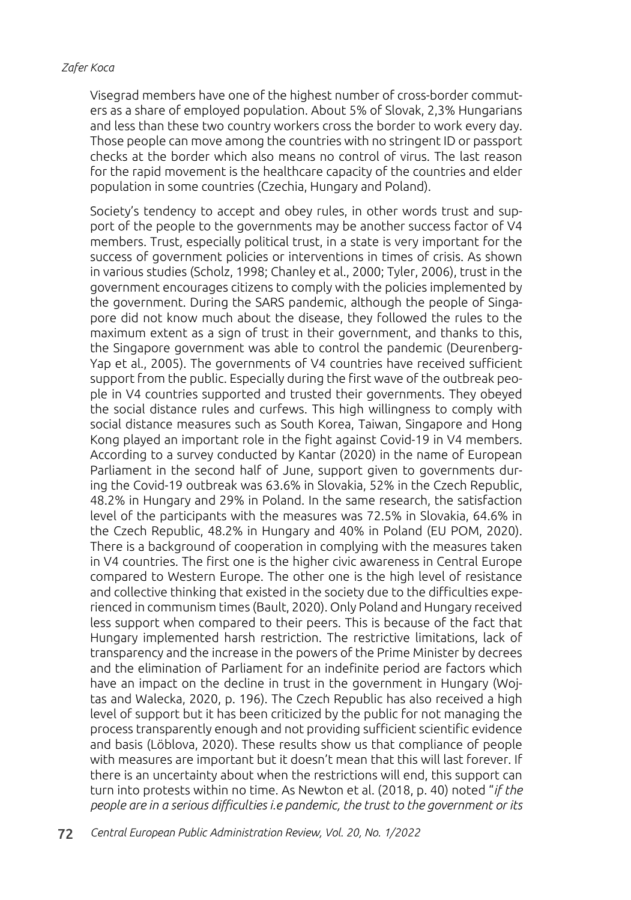Visegrad members have one of the highest number of cross-border commuters as a share of employed population. About 5% of Slovak, 2,3% Hungarians and less than these two country workers cross the border to work every day. Those people can move among the countries with no stringent ID or passport checks at the border which also means no control of virus. The last reason for the rapid movement is the healthcare capacity of the countries and elder population in some countries (Czechia, Hungary and Poland).

Society's tendency to accept and obey rules, in other words trust and support of the people to the governments may be another success factor of V4 members. Trust, especially political trust, in a state is very important for the success of government policies or interventions in times of crisis. As shown in various studies (Scholz, 1998; Chanley et al., 2000; Tyler, 2006), trust in the government encourages citizens to comply with the policies implemented by the government. During the SARS pandemic, although the people of Singapore did not know much about the disease, they followed the rules to the maximum extent as a sign of trust in their government, and thanks to this, the Singapore government was able to control the pandemic (Deurenberg-Yap et al., 2005). The governments of V4 countries have received sufficient support from the public. Especially during the first wave of the outbreak people in V4 countries supported and trusted their governments. They obeyed the social distance rules and curfews. This high willingness to comply with social distance measures such as South Korea, Taiwan, Singapore and Hong Kong played an important role in the fight against Covid-19 in V4 members. According to a survey conducted by Kantar (2020) in the name of European Parliament in the second half of June, support given to governments during the Covid-19 outbreak was 63.6% in Slovakia, 52% in the Czech Republic, 48.2% in Hungary and 29% in Poland. In the same research, the satisfaction level of the participants with the measures was 72.5% in Slovakia, 64.6% in the Czech Republic, 48.2% in Hungary and 40% in Poland (EU POM, 2020). There is a background of cooperation in complying with the measures taken in V4 countries. The first one is the higher civic awareness in Central Europe compared to Western Europe. The other one is the high level of resistance and collective thinking that existed in the society due to the difficulties experienced in communism times (Bault, 2020). Only Poland and Hungary received less support when compared to their peers. This is because of the fact that Hungary implemented harsh restriction. The restrictive limitations, lack of transparency and the increase in the powers of the Prime Minister by decrees and the elimination of Parliament for an indefinite period are factors which have an impact on the decline in trust in the government in Hungary (Wojtas and Walecka, 2020, p. 196). The Czech Republic has also received a high level of support but it has been criticized by the public for not managing the process transparently enough and not providing sufficient scientific evidence and basis (Löblova, 2020). These results show us that compliance of people with measures are important but it doesn't mean that this will last forever. If there is an uncertainty about when the restrictions will end, this support can turn into protests within no time. As Newton et al. (2018, p. 40) noted "*if the people are in a serious difficulties i.e pandemic, the trust to the government or its*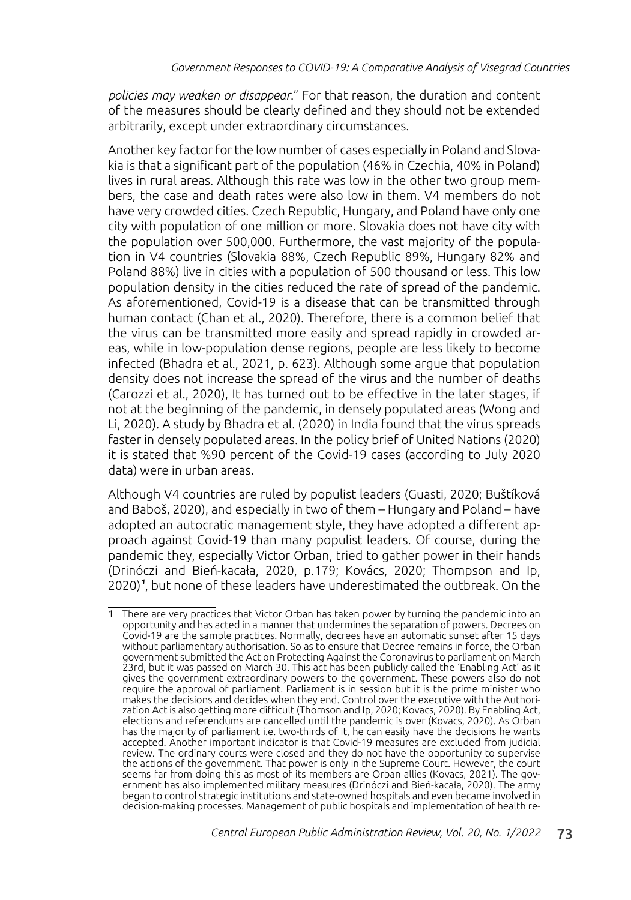*policies may weaken or disappear*." For that reason, the duration and content of the measures should be clearly defined and they should not be extended arbitrarily, except under extraordinary circumstances.

Another key factor for the low number of cases especially in Poland and Slovakia is that a significant part of the population (46% in Czechia, 40% in Poland) lives in rural areas. Although this rate was low in the other two group members, the case and death rates were also low in them. V4 members do not have very crowded cities. Czech Republic, Hungary, and Poland have only one city with population of one million or more. Slovakia does not have city with the population over 500,000. Furthermore, the vast majority of the population in V4 countries (Slovakia 88%, Czech Republic 89%, Hungary 82% and Poland 88%) live in cities with a population of 500 thousand or less. This low population density in the cities reduced the rate of spread of the pandemic. As aforementioned, Covid-19 is a disease that can be transmitted through human contact (Chan et al., 2020). Therefore, there is a common belief that the virus can be transmitted more easily and spread rapidly in crowded areas, while in low-population dense regions, people are less likely to become infected (Bhadra et al., 2021, p. 623). Although some argue that population density does not increase the spread of the virus and the number of deaths (Carozzi et al., 2020), It has turned out to be effective in the later stages, if not at the beginning of the pandemic, in densely populated areas (Wong and Li, 2020). A study by Bhadra et al. (2020) in India found that the virus spreads faster in densely populated areas. In the policy brief of United Nations (2020) it is stated that %90 percent of the Covid-19 cases (according to July 2020 data) were in urban areas.

Although V4 countries are ruled by populist leaders (Guasti, 2020; Buštíková and Baboš, 2020), and especially in two of them – Hungary and Poland – have adopted an autocratic management style, they have adopted a different approach against Covid-19 than many populist leaders. Of course, during the pandemic they, especially Victor Orban, tried to gather power in their hands (Drinóczi and Bień-kacała, 2020, p.179; Kovács, 2020; Thompson and Ip, 2020)<sup>1</sup>, but none of these leaders have underestimated the outbreak. On the

<sup>1</sup> There are very practices that Victor Orban has taken power by turning the pandemic into an opportunity and has acted in a manner that undermines the separation of powers. Decrees on Covid-19 are the sample practices. Normally, decrees have an automatic sunset after 15 days without parliamentary authorisation. So as to ensure that Decree remains in force, the Orban government submitted the Act on Protecting Against the Coronavirus to parliament on March 23rd, but it was passed on March 30. This act has been publicly called the 'Enabling Act' as it gives the government extraordinary powers to the government. These powers also do not require the approval of parliament. Parliament is in session but it is the prime minister who makes the decisions and decides when they end. Control over the executive with the Authorization Act is also getting more difficult (Thomson and Ip, 2020; Kovacs, 2020). By Enabling Act, elections and referendums are cancelled until the pandemic is over (Kovacs, 2020). As Orban has the majority of parliament i.e. two-thirds of it, he can easily have the decisions he wants accepted. Another important indicator is that Covid-19 measures are excluded from judicial review. The ordinary courts were closed and they do not have the opportunity to supervise the actions of the government. That power is only in the Supreme Court. However, the court seems far from doing this as most of its members are Orban allies (Kovacs, 2021). The government has also implemented military measures (Drinóczi and Bień-kacała, 2020). The army began to control strategic institutions and state-owned hospitals and even became involved in decision-making processes. Management of public hospitals and implementation of health re-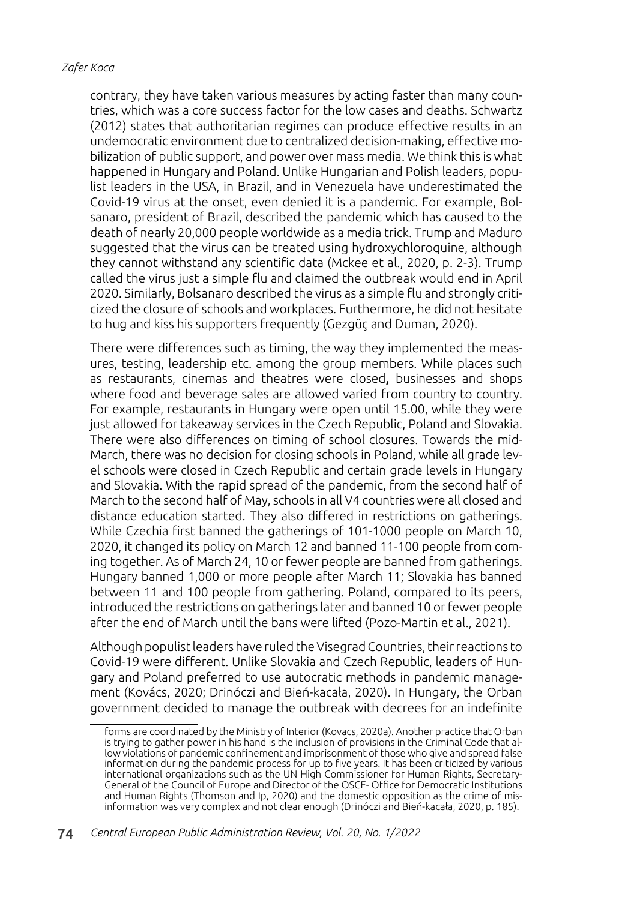contrary, they have taken various measures by acting faster than many countries, which was a core success factor for the low cases and deaths. Schwartz (2012) states that authoritarian regimes can produce effective results in an undemocratic environment due to centralized decision-making, effective mobilization of public support, and power over mass media. We think this is what happened in Hungary and Poland. Unlike Hungarian and Polish leaders, populist leaders in the USA, in Brazil, and in Venezuela have underestimated the Covid-19 virus at the onset, even denied it is a pandemic. For example, Bolsanaro, president of Brazil, described the pandemic which has caused to the death of nearly 20,000 people worldwide as a media trick. Trump and Maduro suggested that the virus can be treated using hydroxychloroquine, although they cannot withstand any scientific data (Mckee et al., 2020, p. 2-3). Trump called the virus just a simple flu and claimed the outbreak would end in April 2020. Similarly, Bolsanaro described the virus as a simple flu and strongly criticized the closure of schools and workplaces. Furthermore, he did not hesitate to hug and kiss his supporters frequently (Gezgüç and Duman, 2020).

There were differences such as timing, the way they implemented the measures, testing, leadership etc. among the group members. While places such as restaurants, cinemas and theatres were closed, businesses and shops where food and beverage sales are allowed varied from country to country. For example, restaurants in Hungary were open until 15.00, while they were just allowed for takeaway services in the Czech Republic, Poland and Slovakia. There were also differences on timing of school closures. Towards the mid-March, there was no decision for closing schools in Poland, while all grade level schools were closed in Czech Republic and certain grade levels in Hungary and Slovakia. With the rapid spread of the pandemic, from the second half of March to the second half of May, schools in all V4 countries were all closed and distance education started. They also differed in restrictions on gatherings. While Czechia first banned the gatherings of 101-1000 people on March 10, 2020, it changed its policy on March 12 and banned 11-100 people from coming together. As of March 24, 10 or fewer people are banned from gatherings. Hungary banned 1,000 or more people after March 11; Slovakia has banned between 11 and 100 people from gathering. Poland, compared to its peers, introduced the restrictions on gatherings later and banned 10 or fewer people after the end of March until the bans were lifted (Pozo-Martin et al., 2021).

Although populist leaders have ruled the Visegrad Countries, their reactions to Covid-19 were different. Unlike Slovakia and Czech Republic, leaders of Hungary and Poland preferred to use autocratic methods in pandemic management (Kovács, 2020; Drinóczi and Bień-kacała, 2020). In Hungary, the Orban government decided to manage the outbreak with decrees for an indefinite

forms are coordinated by the Ministry of Interior (Kovacs, 2020a). Another practice that Orban is trying to gather power in his hand is the inclusion of provisions in the Criminal Code that allow violations of pandemic confinement and imprisonment of those who give and spread false information during the pandemic process for up to five years. It has been criticized by various international organizations such as the UN High Commissioner for Human Rights, Secretary-General of the Council of Europe and Director of the OSCE- Office for Democratic Institutions and Human Rights (Thomson and Ip, 2020) and the domestic opposition as the crime of misinformation was very complex and not clear enough (Drinóczi and Bień-kacała, 2020, p. 185).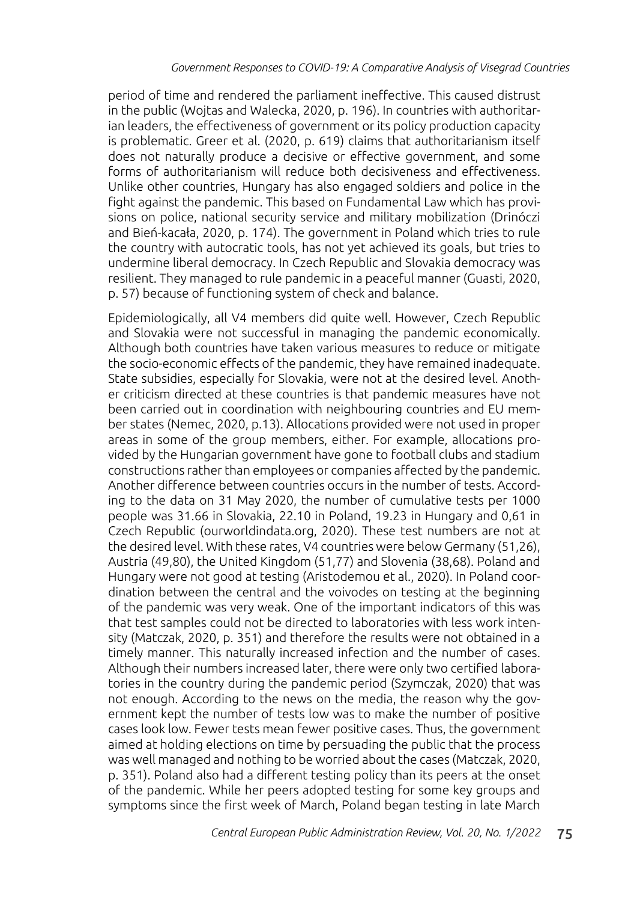period of time and rendered the parliament ineffective. This caused distrust in the public (Wojtas and Walecka, 2020, p. 196). In countries with authoritarian leaders, the effectiveness of government or its policy production capacity is problematic. Greer et al. (2020, p. 619) claims that authoritarianism itself does not naturally produce a decisive or effective government, and some forms of authoritarianism will reduce both decisiveness and effectiveness. Unlike other countries, Hungary has also engaged soldiers and police in the fight against the pandemic. This based on Fundamental Law which has provisions on police, national security service and military mobilization (Drinóczi and Bień-kacała, 2020, p. 174). The government in Poland which tries to rule the country with autocratic tools, has not yet achieved its goals, but tries to undermine liberal democracy. In Czech Republic and Slovakia democracy was resilient. They managed to rule pandemic in a peaceful manner (Guasti, 2020, p. 57) because of functioning system of check and balance.

Epidemiologically, all V4 members did quite well. However, Czech Republic and Slovakia were not successful in managing the pandemic economically. Although both countries have taken various measures to reduce or mitigate the socio-economic effects of the pandemic, they have remained inadequate. State subsidies, especially for Slovakia, were not at the desired level. Another criticism directed at these countries is that pandemic measures have not been carried out in coordination with neighbouring countries and EU member states (Nemec, 2020, p.13). Allocations provided were not used in proper areas in some of the group members, either. For example, allocations provided by the Hungarian government have gone to football clubs and stadium constructions rather than employees or companies affected by the pandemic. Another difference between countries occurs in the number of tests. According to the data on 31 May 2020, the number of cumulative tests per 1000 people was 31.66 in Slovakia, 22.10 in Poland, 19.23 in Hungary and 0,61 in Czech Republic (ourworldindata.org, 2020). These test numbers are not at the desired level. With these rates, V4 countries were below Germany (51,26), Austria (49,80), the United Kingdom (51,77) and Slovenia (38,68). Poland and Hungary were not good at testing (Aristodemou et al., 2020). In Poland coordination between the central and the voivodes on testing at the beginning of the pandemic was very weak. One of the important indicators of this was that test samples could not be directed to laboratories with less work intensity (Matczak, 2020, p. 351) and therefore the results were not obtained in a timely manner. This naturally increased infection and the number of cases. Although their numbers increased later, there were only two certified laboratories in the country during the pandemic period (Szymczak, 2020) that was not enough. According to the news on the media, the reason why the government kept the number of tests low was to make the number of positive cases look low. Fewer tests mean fewer positive cases. Thus, the government aimed at holding elections on time by persuading the public that the process was well managed and nothing to be worried about the cases (Matczak, 2020, p. 351). Poland also had a different testing policy than its peers at the onset of the pandemic. While her peers adopted testing for some key groups and symptoms since the first week of March, Poland began testing in late March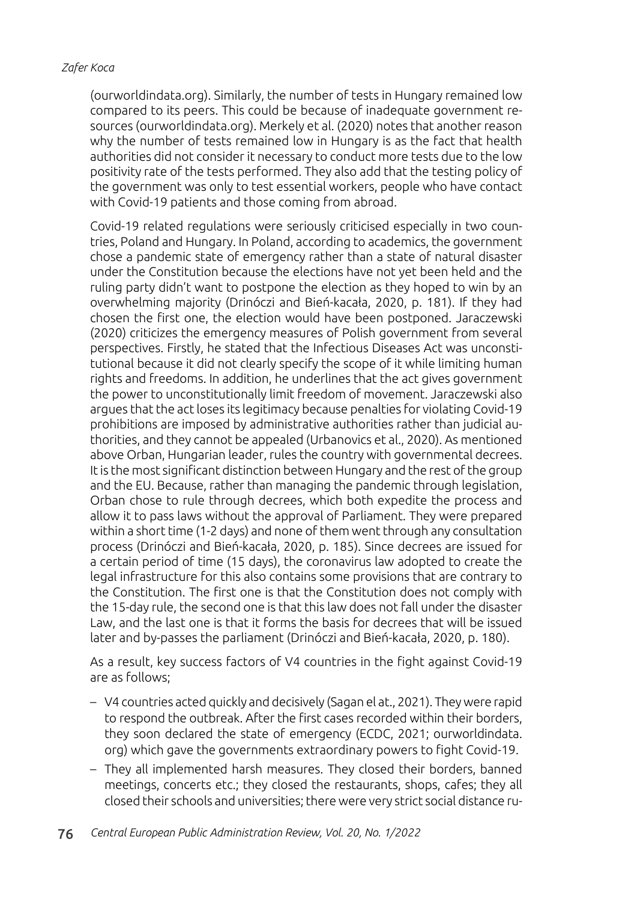(ourworldindata.org). Similarly, the number of tests in Hungary remained low compared to its peers. This could be because of inadequate government resources (ourworldindata.org). Merkely et al. (2020) notes that another reason why the number of tests remained low in Hungary is as the fact that health authorities did not consider it necessary to conduct more tests due to the low positivity rate of the tests performed. They also add that the testing policy of the government was only to test essential workers, people who have contact with Covid-19 patients and those coming from abroad.

Covid-19 related regulations were seriously criticised especially in two countries, Poland and Hungary. In Poland, according to academics, the government chose a pandemic state of emergency rather than a state of natural disaster under the Constitution because the elections have not yet been held and the ruling party didn't want to postpone the election as they hoped to win by an overwhelming majority (Drinóczi and Bień-kacała, 2020, p. 181). If they had chosen the first one, the election would have been postponed. Jaraczewski (2020) criticizes the emergency measures of Polish government from several perspectives. Firstly, he stated that the Infectious Diseases Act was unconstitutional because it did not clearly specify the scope of it while limiting human rights and freedoms. In addition, he underlines that the act gives government the power to unconstitutionally limit freedom of movement. Jaraczewski also argues that the act loses its legitimacy because penalties for violating Covid-19 prohibitions are imposed by administrative authorities rather than judicial authorities, and they cannot be appealed (Urbanovics et al., 2020). As mentioned above Orban, Hungarian leader, rules the country with governmental decrees. It is the most significant distinction between Hungary and the rest of the group and the EU. Because, rather than managing the pandemic through legislation, Orban chose to rule through decrees, which both expedite the process and allow it to pass laws without the approval of Parliament. They were prepared within a short time (1-2 days) and none of them went through any consultation process (Drinóczi and Bień-kacała, 2020, p. 185). Since decrees are issued for a certain period of time (15 days), the coronavirus law adopted to create the legal infrastructure for this also contains some provisions that are contrary to the Constitution. The first one is that the Constitution does not comply with the 15-day rule, the second one is that this law does not fall under the disaster Law, and the last one is that it forms the basis for decrees that will be issued later and by-passes the parliament (Drinóczi and Bień-kacała, 2020, p. 180).

As a result, key success factors of V4 countries in the fight against Covid-19 are as follows;

- V4 countries acted quickly and decisively (Sagan el at., 2021). They were rapid to respond the outbreak. After the first cases recorded within their borders, they soon declared the state of emergency (ECDC, 2021; ourworldindata. org) which gave the governments extraordinary powers to fight Covid-19.
- They all implemented harsh measures. They closed their borders, banned meetings, concerts etc.; they closed the restaurants, shops, cafes; they all closed their schools and universities; there were very strict social distance ru-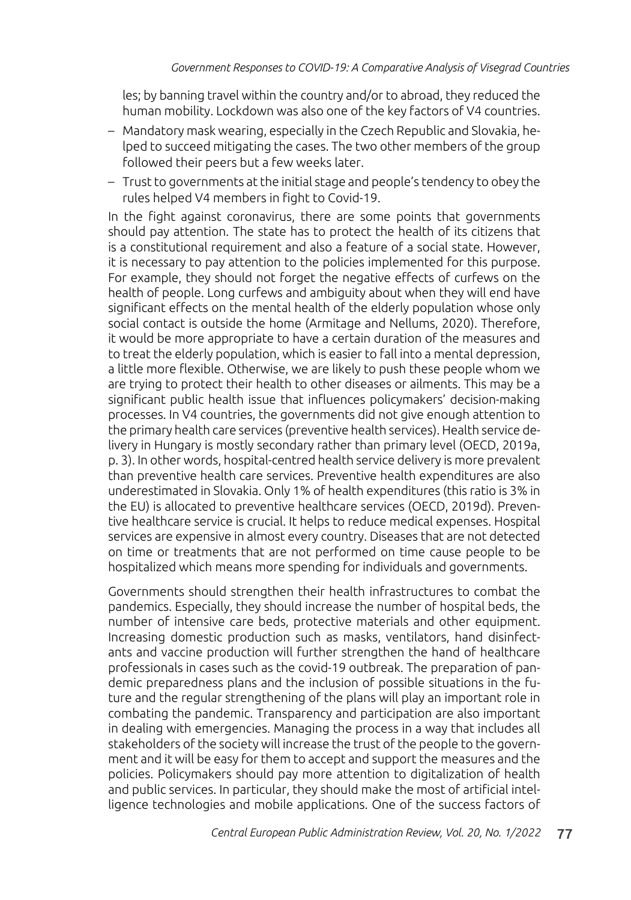les; by banning travel within the country and/or to abroad, they reduced the human mobility. Lockdown was also one of the key factors of V4 countries.

- Mandatory mask wearing, especially in the Czech Republic and Slovakia, helped to succeed mitigating the cases. The two other members of the group followed their peers but a few weeks later.
- Trust to governments at the initial stage and people's tendency to obey the rules helped V4 members in fight to Covid-19.

In the fight against coronavirus, there are some points that governments should pay attention. The state has to protect the health of its citizens that is a constitutional requirement and also a feature of a social state. However, it is necessary to pay attention to the policies implemented for this purpose. For example, they should not forget the negative effects of curfews on the health of people. Long curfews and ambiguity about when they will end have significant effects on the mental health of the elderly population whose only social contact is outside the home (Armitage and Nellums, 2020). Therefore, it would be more appropriate to have a certain duration of the measures and to treat the elderly population, which is easier to fall into a mental depression, a little more flexible. Otherwise, we are likely to push these people whom we are trying to protect their health to other diseases or ailments. This may be a significant public health issue that influences policymakers' decision-making processes. In V4 countries, the governments did not give enough attention to the primary health care services (preventive health services). Health service delivery in Hungary is mostly secondary rather than primary level (OECD, 2019a, p. 3). In other words, hospital-centred health service delivery is more prevalent than preventive health care services. Preventive health expenditures are also underestimated in Slovakia. Only 1% of health expenditures (this ratio is 3% in the EU) is allocated to preventive healthcare services (OECD, 2019d). Preventive healthcare service is crucial. It helps to reduce medical expenses. Hospital services are expensive in almost every country. Diseases that are not detected on time or treatments that are not performed on time cause people to be hospitalized which means more spending for individuals and governments.

Governments should strengthen their health infrastructures to combat the pandemics. Especially, they should increase the number of hospital beds, the number of intensive care beds, protective materials and other equipment. Increasing domestic production such as masks, ventilators, hand disinfectants and vaccine production will further strengthen the hand of healthcare professionals in cases such as the covid-19 outbreak. The preparation of pandemic preparedness plans and the inclusion of possible situations in the future and the regular strengthening of the plans will play an important role in combating the pandemic. Transparency and participation are also important in dealing with emergencies. Managing the process in a way that includes all stakeholders of the society will increase the trust of the people to the government and it will be easy for them to accept and support the measures and the policies. Policymakers should pay more attention to digitalization of health and public services. In particular, they should make the most of artificial intelligence technologies and mobile applications. One of the success factors of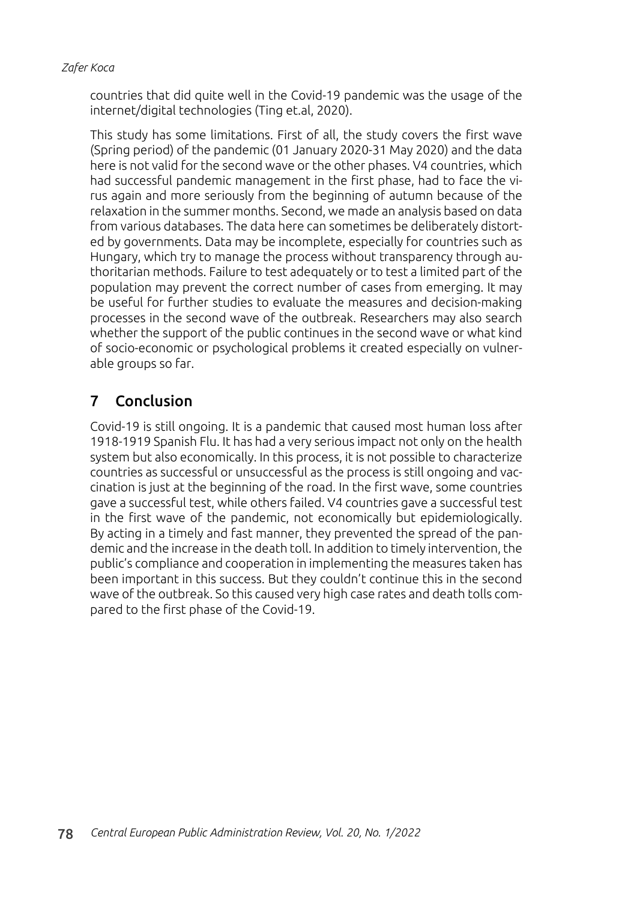countries that did quite well in the Covid-19 pandemic was the usage of the internet/digital technologies (Ting et.al, 2020).

This study has some limitations. First of all, the study covers the first wave (Spring period) of the pandemic (01 January 2020-31 May 2020) and the data here is not valid for the second wave or the other phases. V4 countries, which had successful pandemic management in the first phase, had to face the virus again and more seriously from the beginning of autumn because of the relaxation in the summer months. Second, we made an analysis based on data from various databases. The data here can sometimes be deliberately distorted by governments. Data may be incomplete, especially for countries such as Hungary, which try to manage the process without transparency through authoritarian methods. Failure to test adequately or to test a limited part of the population may prevent the correct number of cases from emerging. It may be useful for further studies to evaluate the measures and decision-making processes in the second wave of the outbreak. Researchers may also search whether the support of the public continues in the second wave or what kind of socio-economic or psychological problems it created especially on vulnerable groups so far.

# 7 Conclusion

Covid-19 is still ongoing. It is a pandemic that caused most human loss after 1918-1919 Spanish Flu. It has had a very serious impact not only on the health system but also economically. In this process, it is not possible to characterize countries as successful or unsuccessful as the process is still ongoing and vaccination is just at the beginning of the road. In the first wave, some countries gave a successful test, while others failed. V4 countries gave a successful test in the first wave of the pandemic, not economically but epidemiologically. By acting in a timely and fast manner, they prevented the spread of the pandemic and the increase in the death toll. In addition to timely intervention, the public's compliance and cooperation in implementing the measures taken has been important in this success. But they couldn't continue this in the second wave of the outbreak. So this caused very high case rates and death tolls compared to the first phase of the Covid-19.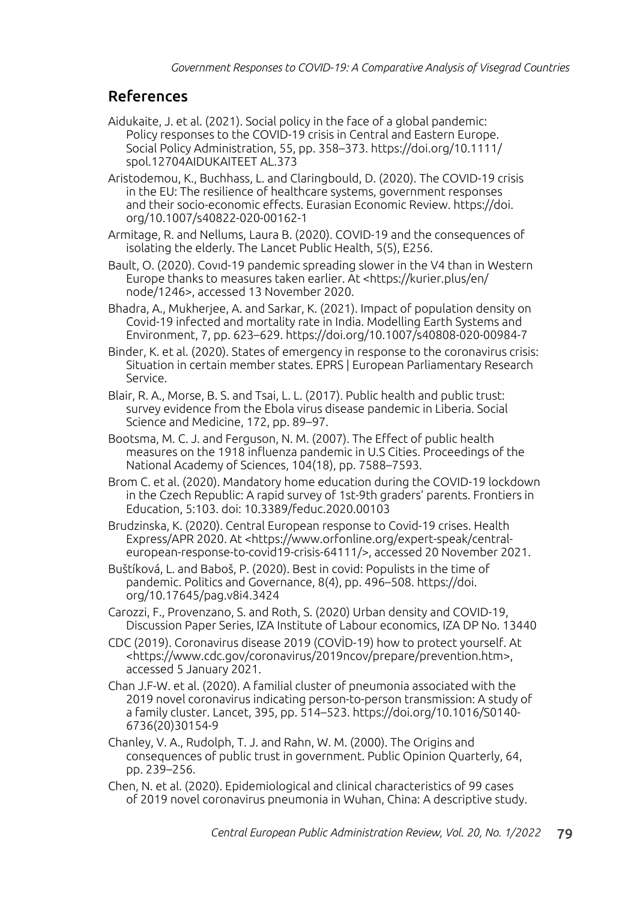# References

- Aidukaite, J. et al. (2021). Social policy in the face of a global pandemic: Policy responses to the COVID-19 crisis in Central and Eastern Europe. Social Policy Administration, 55, pp. 358–373. https://doi.org/10.1111/ spol.12704AIDUKAITEET AL.373
- Aristodemou, K., Buchhass, L. and Claringbould, D. (2020). The COVID‑19 crisis in the EU: The resilience of healthcare systems, government responses and their socio‑economic effects. Eurasian Economic Review. https://doi. org/10.1007/s40822-020-00162-1
- Armitage, R. and Nellums, Laura B. (2020). COVID-19 and the consequences of isolating the elderly. The Lancet Public Health, 5(5), E256.
- Bault, O. (2020). Covıd-19 pandemic spreading slower in the V4 than in Western Europe thanks to measures taken earlier. At <https://kurier.plus/en/ node/1246>, accessed 13 November 2020.
- Bhadra, A., Mukherjee, A. and Sarkar, K. (2021). Impact of population density on Covid-19 infected and mortality rate in India. Modelling Earth Systems and Environment, 7, pp. 623–629. https://doi.org/10.1007/s40808-020-00984-7
- Binder, K. et al. (2020). States of emergency in response to the coronavirus crisis: Situation in certain member states. EPRS | European Parliamentary Research Service.
- Blair, R. A., Morse, B. S. and Tsai, L. L. (2017). Public health and public trust: survey evidence from the Ebola virus disease pandemic in Liberia. Social Science and Medicine, 172, pp. 89–97.
- Bootsma, M. C. J. and Ferguson, N. M. (2007). The Effect of public health measures on the 1918 influenza pandemic in U.S Cities. Proceedings of the National Academy of Sciences, 104(18), pp. 7588–7593.
- Brom C. et al. (2020). Mandatory home education during the COVID-19 lockdown in the Czech Republic: A rapid survey of 1st-9th graders' parents. Frontiers in Education, 5:103. doi: 10.3389/feduc.2020.00103
- Brudzinska, K. (2020). Central European response to Covid-19 crises. Health Express/APR 2020. At <https://www.orfonline.org/expert-speak/centraleuropean-response-to-covid19-crisis-64111/>, accessed 20 November 2021.
- Buštíková, L. and Baboš, P. (2020). Best in covid: Populists in the time of pandemic. Politics and Governance, 8(4), pp. 496–508. https://doi. org/10.17645/pag.v8i4.3424
- Carozzi, F., Provenzano, S. and Roth, S. (2020) Urban density and COVID-19, Discussion Paper Series, IZA Institute of Labour economics, IZA DP No. 13440
- CDC (2019). Coronavirus disease 2019 (COVİD-19) how to protect yourself. At <https://www.cdc.gov/coronavirus/2019ncov/prepare/prevention.htm>, accessed 5 January 2021.
- Chan J.F-W. et al. (2020). A familial cluster of pneumonia associated with the 2019 novel coronavirus indicating person-to-person transmission: A study of a family cluster. Lancet, 395, pp. 514–523. https://doi.org/10.1016/S0140- 6736(20)30154-9
- Chanley, V. A., Rudolph, T. J. and Rahn, W. M. (2000). The Origins and consequences of public trust in government. Public Opinion Quarterly, 64, pp. 239–256.
- Chen, N. et al. (2020). Epidemiological and clinical characteristics of 99 cases of 2019 novel coronavirus pneumonia in Wuhan, China: A descriptive study.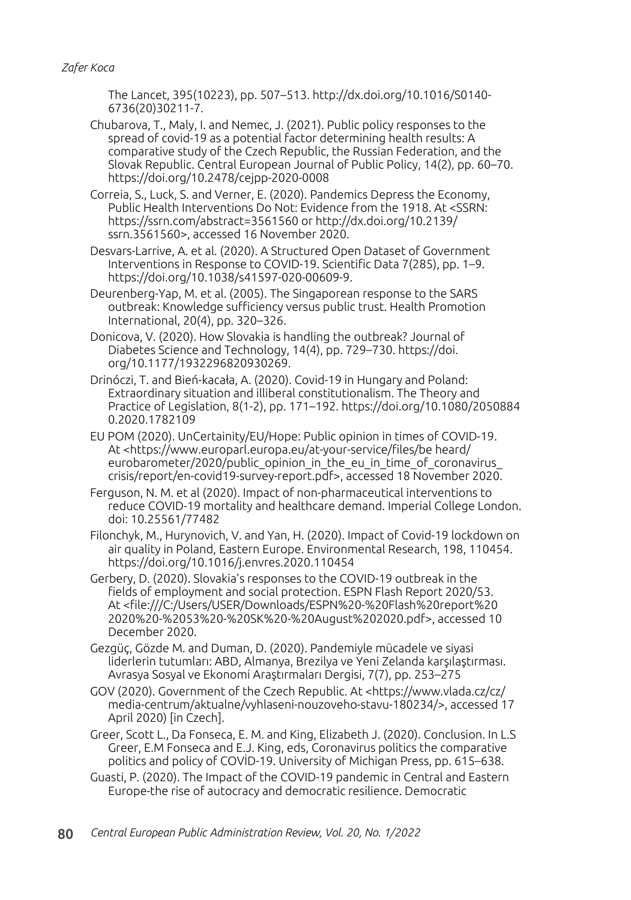The Lancet, 395(10223), pp. 507–513. http://dx.doi.org/10.1016/S0140- 6736(20)30211-7.

Chubarova, T., Maly, I. and Nemec, J. (2021). Public policy responses to the spread of covid-19 as a potential factor determining health results: A comparative study of the Czech Republic, the Russian Federation, and the Slovak Republic. Central European Journal of Public Policy, 14(2), pp. 60–70. https://doi.org/10.2478/cejpp-2020-0008

Correia, S., Luck, S. and Verner, E. (2020). Pandemics Depress the Economy, Public Health Interventions Do Not: Evidence from the 1918. At <SSRN: https://ssrn.com/abstract=3561560 or http://dx.doi.org/10.2139/ ssrn.3561560>, accessed 16 November 2020.

Desvars-Larrive, A. et al. (2020). A Structured Open Dataset of Government Interventions in Response to COVID-19. Scientific Data 7(285), pp. 1–9. https://doi.org/10.1038/s41597-020-00609-9.

Deurenberg-Yap, M. et al. (2005). The Singaporean response to the SARS outbreak: Knowledge sufficiency versus public trust. Health Promotion International, 20(4), pp. 320–326.

Donicova, V. (2020). How Slovakia is handling the outbreak? Journal of Diabetes Science and Technology, 14(4), pp. 729–730. https://doi. org/10.1177/1932296820930269.

Drinóczi, T. and Bień-kacała, A. (2020). Covid-19 in Hungary and Poland: Extraordinary situation and illiberal constitutionalism. The Theory and Practice of Legislation, 8(1-2), pp. 171–192. https://doi.org/10.1080/2050884 0.2020.1782109

EU POM (2020). UnCertainity/EU/Hope: Public opinion in times of COVID-19. At <https://www.europarl.europa.eu/at-your-service/files/be heard/ eurobarometer/2020/public opinion in the eu in time of coronavirus crisis/report/en-covid19-survey-report.pdf>, accessed 18 November 2020.

Ferguson, N. M. et al (2020). Impact of non-pharmaceutical interventions to reduce COVID-19 mortality and healthcare demand. Imperial College London. doi: 10.25561/77482

Filonchyk, M., Hurynovich, V. and Yan, H. (2020). Impact of Covid-19 lockdown on air quality in Poland, Eastern Europe. Environmental Research, 198, 110454. https://doi.org/10.1016/j.envres.2020.110454

Gerbery, D. (2020). Slovakia's responses to the COVID-19 outbreak in the fields of employment and social protection. ESPN Flash Report 2020/53. At <file:///C:/Users/USER/Downloads/ESPN%20-%20Flash%20report%20 2020%20-%2053%20-%20SK%20-%20August%202020.pdf>, accessed 10 December 2020.

Gezgüç, Gözde M. and Duman, D. (2020). Pandemiyle mücadele ve siyasi liderlerin tutumları: ABD, Almanya, Brezilya ve Yeni Zelanda karşılaştırması. Avrasya Sosyal ve Ekonomi Araştırmaları Dergisi, 7(7), pp. 253–275

GOV (2020). Government of the Czech Republic. At <https://www.vlada.cz/cz/ media-centrum/aktualne/vyhlaseni-nouzoveho-stavu-180234/>, accessed 17 April 2020) [in Czech].

Greer, Scott L., Da Fonseca, E. M. and King, Elizabeth J. (2020). Conclusion. In L.S Greer, E.M Fonseca and E.J. King, eds, Coronavirus politics the comparative politics and policy of COVİD-19. University of Michigan Press, pp. 615–638.

Guasti, P. (2020). The Impact of the COVID-19 pandemic in Central and Eastern Europe-the rise of autocracy and democratic resilience. Democratic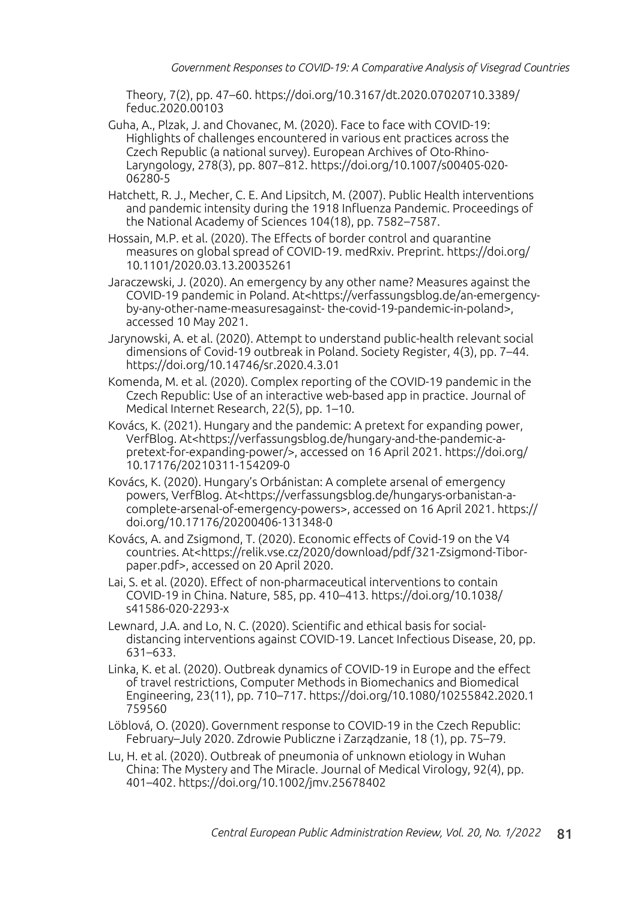Theory, 7(2), pp. 47–60. https://doi.org/10.3167/dt.2020.07020710.3389/ feduc.2020.00103

- Guha, A., Plzak, J. and Chovanec, M. (2020). Face to face with COVID-19: Highlights of challenges encountered in various ent practices across the Czech Republic (a national survey). European Archives of Oto-Rhino-Laryngology, 278(3), pp. 807–812. https://doi.org/10.1007/s00405-020- 06280-5
- Hatchett, R. J., Mecher, C. E. And Lipsitch, M. (2007). Public Health interventions and pandemic intensity during the 1918 Influenza Pandemic. Proceedings of the National Academy of Sciences 104(18), pp. 7582–7587.
- Hossain, M.P. et al. (2020). The Effects of border control and quarantine measures on global spread of COVID-19. medRxiv. Preprint. https://doi.org/ 10.1101/2020.03.13.20035261
- Jaraczewski, J. (2020). An emergency by any other name? Measures against the COVID-19 pandemic in Poland. At<https://verfassungsblog.de/an-emergencyby-any-other-name-measuresagainst- the-covid-19-pandemic-in-poland>, accessed 10 May 2021.
- Jarynowski, A. et al. (2020). Attempt to understand public-health relevant social dimensions of Covid-19 outbreak in Poland. Society Register, 4(3), pp. 7–44. https://doi.org/10.14746/sr.2020.4.3.01
- Komenda, M. et al. (2020). Complex reporting of the COVID-19 pandemic in the Czech Republic: Use of an interactive web-based app in practice. Journal of Medical Internet Research, 22(5), pp. 1–10.
- Kovács, K. (2021). Hungary and the pandemic: A pretext for expanding power, VerfBlog. At<https://verfassungsblog.de/hungary-and-the-pandemic-apretext-for-expanding-power/>, accessed on 16 April 2021. https://doi.org/ 10.17176/20210311-154209-0
- Kovács, K. (2020). Hungary's Orbánistan: A complete arsenal of emergency powers, VerfBlog. At<https://verfassungsblog.de/hungarys-orbanistan-acomplete-arsenal-of-emergency-powers>, accessed on 16 April 2021. https:// doi.org/10.17176/20200406-131348-0
- Kovács, A. and Zsigmond, T. (2020). Economic effects of Covid-19 on the V4 countries. At<https://relik.vse.cz/2020/download/pdf/321-Zsigmond-Tiborpaper.pdf>, accessed on 20 April 2020.
- Lai, S. et al. (2020). Effect of non-pharmaceutical interventions to contain COVID-19 in China. Nature, 585, pp. 410–413. https://doi.org/10.1038/ s41586-020-2293-x
- Lewnard, J.A. and Lo, N. C. (2020). Scientific and ethical basis for socialdistancing interventions against COVID-19. Lancet Infectious Disease, 20, pp. 631–633.
- Linka, K. et al. (2020). Outbreak dynamics of COVID-19 in Europe and the effect of travel restrictions, Computer Methods in Biomechanics and Biomedical Engineering, 23(11), pp. 710–717. https://doi.org/10.1080/10255842.2020.1 759560
- Löblová, O. (2020). Government response to COVID-19 in the Czech Republic: February–July 2020. Zdrowie Publiczne i Zarządzanie, 18 (1), pp. 75–79.
- Lu, H. et al. (2020). Outbreak of pneumonia of unknown etiology in Wuhan China: The Mystery and The Miracle. Journal of Medical Virology, 92(4), pp. 401–402. https://doi.org/10.1002/jmv.25678402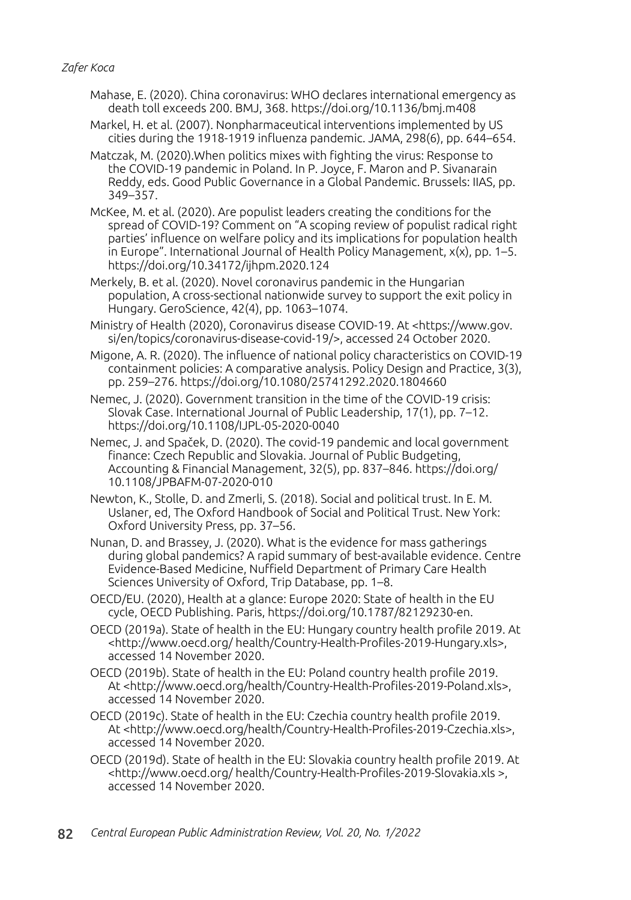- Mahase, E. (2020). China coronavirus: WHO declares international emergency as death toll exceeds 200. BMJ, 368. https://doi.org/10.1136/bmj.m408
- Markel, H. et al. (2007). Nonpharmaceutical interventions implemented by US cities during the 1918-1919 influenza pandemic. JAMA, 298(6), pp. 644–654.
- Matczak, M. (2020).When politics mixes with fighting the virus: Response to the COVID-19 pandemic in Poland. In P. Joyce, F. Maron and P. Sivanarain Reddy, eds. Good Public Governance in a Global Pandemic. Brussels: IIAS, pp. 349–357.
- McKee, M. et al. (2020). Are populist leaders creating the conditions for the spread of COVID-19? Comment on "A scoping review of populist radical right parties' influence on welfare policy and its implications for population health in Europe". International Journal of Health Policy Management,  $x(x)$ , pp. 1–5. https://doi.org/10.34172/ijhpm.2020.124
- Merkely, B. et al. (2020). Novel coronavirus pandemic in the Hungarian population, A cross-sectional nationwide survey to support the exit policy in Hungary. GeroScience, 42(4), pp. 1063–1074.
- Ministry of Health (2020), Coronavirus disease COVID-19. At <https://www.gov. si/en/topics/coronavirus-disease-covid-19/>, accessed 24 October 2020.
- Migone, A. R. (2020). The influence of national policy characteristics on COVID-19 containment policies: A comparative analysis. Policy Design and Practice, 3(3), pp. 259–276. https://doi.org/10.1080/25741292.2020.1804660

Nemec, J. (2020). Government transition in the time of the COVID-19 crisis: Slovak Case. International Journal of Public Leadership, 17(1), pp. 7–12. https://doi.org/10.1108/IJPL-05-2020-0040

- Nemec, J. and Spaček, D. (2020). The covid-19 pandemic and local government finance: Czech Republic and Slovakia. Journal of Public Budgeting, Accounting & Financial Management, 32(5), pp. 837–846. https://doi.org/ 10.1108/JPBAFM-07-2020-010
- Newton, K., Stolle, D. and Zmerli, S. (2018). Social and political trust. In E. M. Uslaner, ed, The Oxford Handbook of Social and Political Trust. New York: Oxford University Press, pp. 37–56.
- Nunan, D. and Brassey, J. (2020). What is the evidence for mass gatherings during global pandemics? A rapid summary of best-available evidence. Centre Evidence-Based Medicine, Nuffield Department of Primary Care Health Sciences University of Oxford, Trip Database, pp. 1–8.
- OECD/EU. (2020), Health at a glance: Europe 2020: State of health in the EU cycle, OECD Publishing. Paris, https://doi.org/10.1787/82129230-en.
- OECD (2019a). State of health in the EU: Hungary country health profile 2019. At <http://www.oecd.org/ health/Country-Health-Profiles-2019-Hungary.xls>, accessed 14 November 2020.
- OECD (2019b). State of health in the EU: Poland country health profile 2019. At <http://www.oecd.org/health/Country-Health-Profiles-2019-Poland.xls>, accessed 14 November 2020.
- OECD (2019c). State of health in the EU: Czechia country health profile 2019. At <http://www.oecd.org/health/Country-Health-Profiles-2019-Czechia.xls>, accessed 14 November 2020.
- OECD (2019d). State of health in the EU: Slovakia country health profile 2019. At <http://www.oecd.org/ health/Country-Health-Profiles-2019-Slovakia.xls >, accessed 14 November 2020.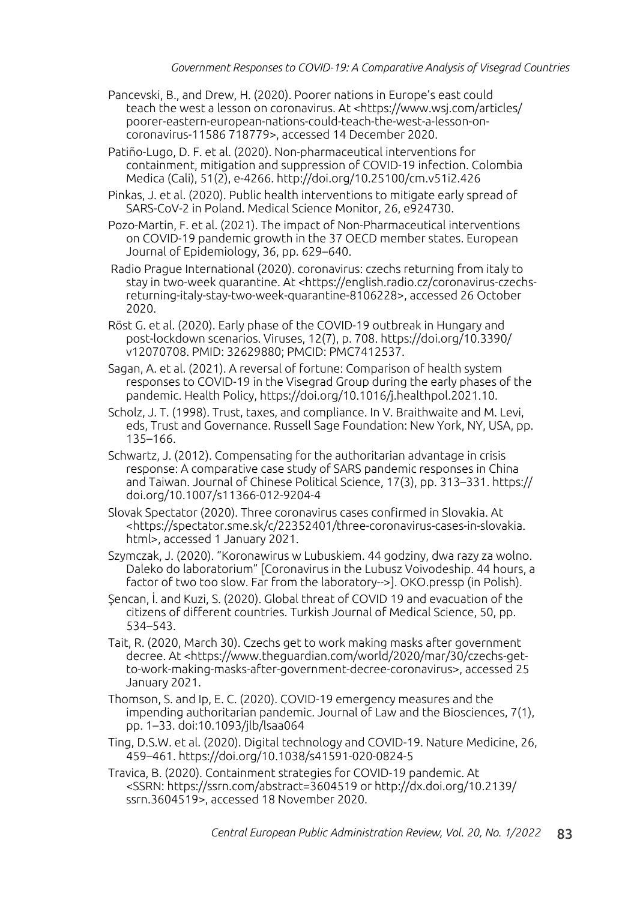- Pancevski, B., and Drew, H. (2020). Poorer nations in Europe's east could teach the west a lesson on coronavirus. At <https://www.wsj.com/articles/ poorer-eastern-european-nations-could-teach-the-west-a-lesson-oncoronavirus-11586 718779>, accessed 14 December 2020.
- Patiño-Lugo, D. F. et al. (2020). Non-pharmaceutical interventions for containment, mitigation and suppression of COVID-19 infection. Colombia Medica (Cali), 51(2), e-4266. http://doi.org/10.25100/cm.v51i2.426
- Pinkas, J. et al. (2020). Public health interventions to mitigate early spread of SARS-CoV-2 in Poland. Medical Science Monitor, 26, e924730.
- Pozo-Martin, F. et al. (2021). The impact of Non-Pharmaceutical interventions on COVID-19 pandemic growth in the 37 OECD member states. European Journal of Epidemiology, 36, pp. 629–640.
- Radio Prague International (2020). coronavirus: czechs returning from italy to stay in two-week quarantine. At <https://english.radio.cz/coronavirus-czechsreturning-italy-stay-two-week-quarantine-8106228>, accessed 26 October 2020.
- Röst G. et al. (2020). Early phase of the COVID-19 outbreak in Hungary and post-lockdown scenarios. Viruses, 12(7), p. 708. https://doi.org/10.3390/ v12070708. PMID: 32629880; PMCID: PMC7412537.
- Sagan, A. et al. (2021). A reversal of fortune: Comparison of health system responses to COVID-19 in the Visegrad Group during the early phases of the pandemic. Health Policy, https://doi.org/10.1016/j.healthpol.2021.10.
- Scholz, J. T. (1998). Trust, taxes, and compliance. In V. Braithwaite and M. Levi, eds, Trust and Governance. Russell Sage Foundation: New York, NY, USA, pp. 135–166.
- Schwartz, J. (2012). Compensating for the authoritarian advantage in crisis response: A comparative case study of SARS pandemic responses in China and Taiwan. Journal of Chinese Political Science, 17(3), pp. 313–331. https:// doi.org/10.1007/s11366-012-9204-4
- Slovak Spectator (2020). Three coronavirus cases confirmed in Slovakia. At <https://spectator.sme.sk/c/22352401/three-coronavirus-cases-in-slovakia. html>, accessed 1 January 2021.
- Szymczak, J. (2020). "Koronawirus w Lubuskiem. 44 godziny, dwa razy za wolno. Daleko do laboratorium" [Coronavirus in the Lubusz Voivodeship. 44 hours, a factor of two too slow. Far from the laboratory-->]. OKO.pressp (in Polish).
- Şencan, İ. and Kuzi, S. (2020). Global threat of COVID 19 and evacuation of the citizens of different countries. Turkish Journal of Medical Science, 50, pp. 534–543.
- Tait, R. (2020, March 30). Czechs get to work making masks after government decree. At <https://www.theguardian.com/world/2020/mar/30/czechs-getto-work-making-masks-after-government-decree-coronavirus>, accessed 25 January 2021.
- Thomson, S. and Ip, E. C. (2020). COVID-19 emergency measures and the impending authoritarian pandemic. Journal of Law and the Biosciences, 7(1), pp. 1–33. doi:10.1093/jlb/lsaa064
- Ting, D.S.W. et al. (2020). Digital technology and COVID-19. Nature Medicine, 26, 459–461. https://doi.org/10.1038/s41591-020-0824-5
- Travica, B. (2020). Containment strategies for COVID-19 pandemic. At <SSRN: https://ssrn.com/abstract=3604519 or http://dx.doi.org/10.2139/ ssrn.3604519>, accessed 18 November 2020.